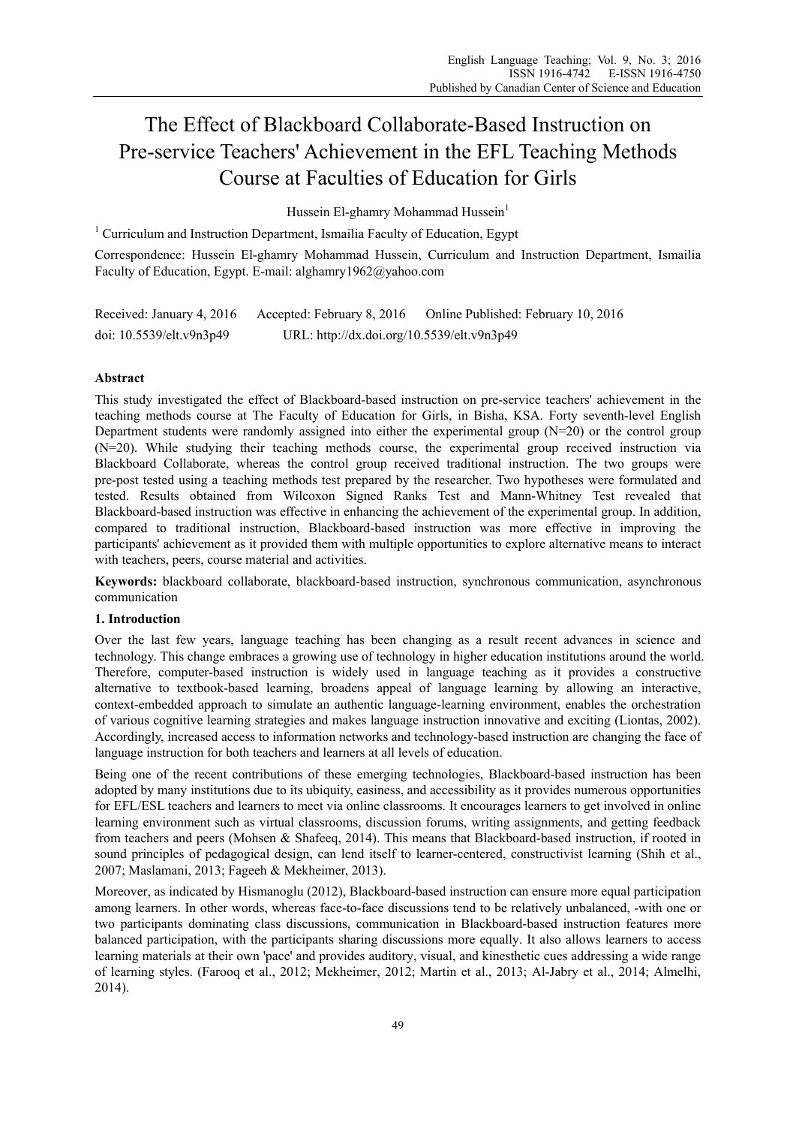# The Effect of Blackboard Collaborate-Based Instruction on Pre-service Teachers' Achievement in the EFL Teaching Methods Course at Faculties of Education for Girls

Hussein El-ghamry Mohammad Hussein<sup>1</sup>

<sup>1</sup> Curriculum and Instruction Department, Ismailia Faculty of Education, Egypt

Correspondence: Hussein El-ghamry Mohammad Hussein, Curriculum and Instruction Department, Ismailia Faculty of Education, Egypt. E-mail: alghamry1962@yahoo.com

| Received: January 4, 2016 | Accepted: February 8, 2016                 | Online Published: February 10, 2016 |
|---------------------------|--------------------------------------------|-------------------------------------|
| doi: 10.5539/elt.v9n3p49  | URL: http://dx.doi.org/10.5539/elt.v9n3p49 |                                     |

# **Abstract**

This study investigated the effect of Blackboard-based instruction on pre-service teachers' achievement in the teaching methods course at The Faculty of Education for Girls, in Bisha, KSA. Forty seventh-level English Department students were randomly assigned into either the experimental group  $(N=20)$  or the control group (N=20). While studying their teaching methods course, the experimental group received instruction via Blackboard Collaborate, whereas the control group received traditional instruction. The two groups were pre-post tested using a teaching methods test prepared by the researcher. Two hypotheses were formulated and tested. Results obtained from Wilcoxon Signed Ranks Test and Mann-Whitney Test revealed that Blackboard-based instruction was effective in enhancing the achievement of the experimental group. In addition, compared to traditional instruction, Blackboard-based instruction was more effective in improving the participants' achievement as it provided them with multiple opportunities to explore alternative means to interact with teachers, peers, course material and activities.

**Keywords:** blackboard collaborate, blackboard-based instruction, synchronous communication, asynchronous communication

## **1. Introduction**

Over the last few years, language teaching has been changing as a result recent advances in science and technology. This change embraces a growing use of technology in higher education institutions around the world. Therefore, computer-based instruction is widely used in language teaching as it provides a constructive alternative to textbook-based learning, broadens appeal of language learning by allowing an interactive, context-embedded approach to simulate an authentic language-learning environment, enables the orchestration of various cognitive learning strategies and makes language instruction innovative and exciting (Liontas, 2002). Accordingly, increased access to information networks and technology-based instruction are changing the face of language instruction for both teachers and learners at all levels of education.

Being one of the recent contributions of these emerging technologies, Blackboard-based instruction has been adopted by many institutions due to its ubiquity, easiness, and accessibility as it provides numerous opportunities for EFL/ESL teachers and learners to meet via online classrooms. It encourages learners to get involved in online learning environment such as virtual classrooms, discussion forums, writing assignments, and getting feedback from teachers and peers (Mohsen & Shafeeq, 2014). This means that Blackboard-based instruction, if rooted in sound principles of pedagogical design, can lend itself to learner-centered, constructivist learning (Shih et al., 2007; Maslamani, 2013; Fageeh & Mekheimer, 2013).

Moreover, as indicated by Hismanoglu (2012), Blackboard-based instruction can ensure more equal participation among learners. In other words, whereas face-to-face discussions tend to be relatively unbalanced, -with one or two participants dominating class discussions, communication in Blackboard-based instruction features more balanced participation, with the participants sharing discussions more equally. It also allows learners to access learning materials at their own 'pace' and provides auditory, visual, and kinesthetic cues addressing a wide range of learning styles. (Farooq et al., 2012; Mekheimer, 2012; Martin et al., 2013; Al-Jabry et al., 2014; Almelhi, 2014).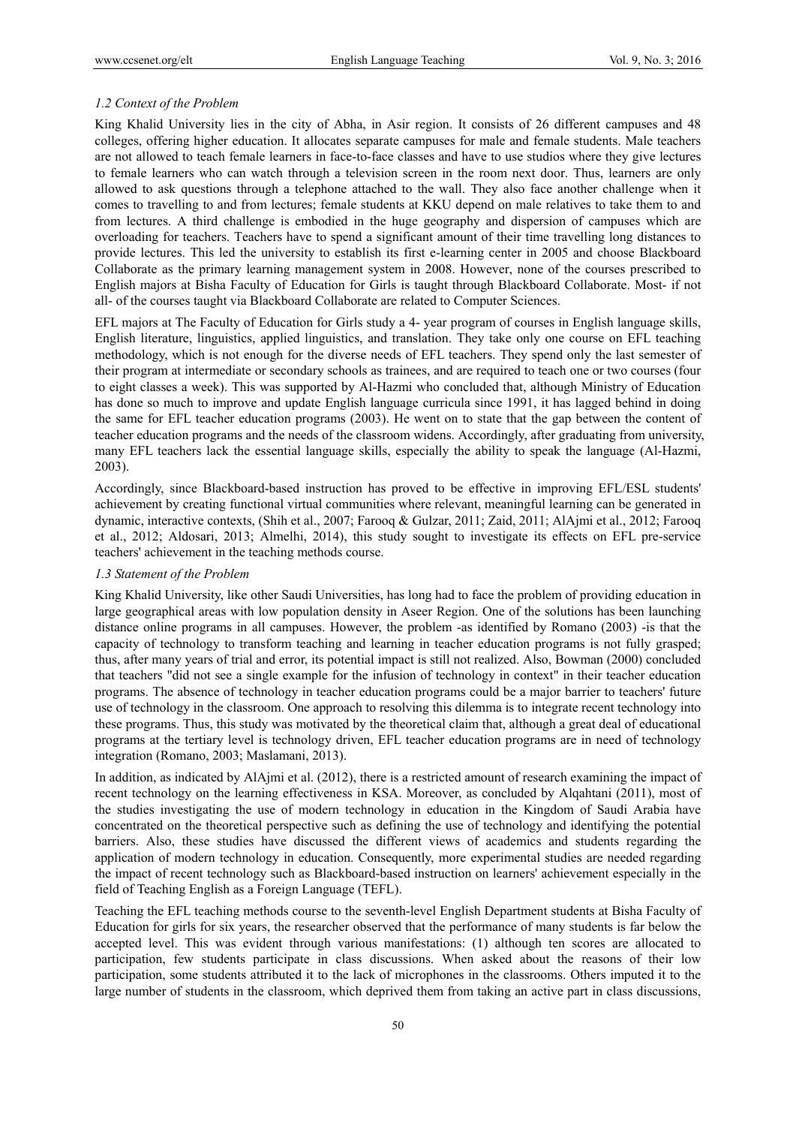#### *1.2 Context of the Problem*

King Khalid University lies in the city of Abha, in Asir region. It consists of 26 different campuses and 48 colleges, offering higher education. It allocates separate campuses for male and female students. Male teachers are not allowed to teach female learners in face-to-face classes and have to use studios where they give lectures to female learners who can watch through a television screen in the room next door. Thus, learners are only allowed to ask questions through a telephone attached to the wall. They also face another challenge when it comes to travelling to and from lectures; female students at KKU depend on male relatives to take them to and from lectures. A third challenge is embodied in the huge geography and dispersion of campuses which are overloading for teachers. Teachers have to spend a significant amount of their time travelling long distances to provide lectures. This led the university to establish its first e-learning center in 2005 and choose Blackboard Collaborate as the primary learning management system in 2008. However, none of the courses prescribed to English majors at Bisha Faculty of Education for Girls is taught through Blackboard Collaborate. Most- if not all- of the courses taught via Blackboard Collaborate are related to Computer Sciences.

EFL majors at The Faculty of Education for Girls study a 4- year program of courses in English language skills, English literature, linguistics, applied linguistics, and translation. They take only one course on EFL teaching methodology, which is not enough for the diverse needs of EFL teachers. They spend only the last semester of their program at intermediate or secondary schools as trainees, and are required to teach one or two courses (four to eight classes a week). This was supported by Al-Hazmi who concluded that, although Ministry of Education has done so much to improve and update English language curricula since 1991, it has lagged behind in doing the same for EFL teacher education programs (2003). He went on to state that the gap between the content of teacher education programs and the needs of the classroom widens. Accordingly, after graduating from university, many EFL teachers lack the essential language skills, especially the ability to speak the language (Al-Hazmi, 2003).

Accordingly, since Blackboard-based instruction has proved to be effective in improving EFL/ESL students' achievement by creating functional virtual communities where relevant, meaningful learning can be generated in dynamic, interactive contexts, (Shih et al., 2007; Farooq & Gulzar, 2011; Zaid, 2011; AlAjmi et al., 2012; Farooq et al., 2012; Aldosari, 2013; Almelhi, 2014), this study sought to investigate its effects on EFL pre-service teachers' achievement in the teaching methods course.

#### *1.3 Statement of the Problem*

King Khalid University, like other Saudi Universities, has long had to face the problem of providing education in large geographical areas with low population density in Aseer Region. One of the solutions has been launching distance online programs in all campuses. However, the problem -as identified by Romano (2003) -is that the capacity of technology to transform teaching and learning in teacher education programs is not fully grasped; thus, after many years of trial and error, its potential impact is still not realized. Also, Bowman (2000) concluded that teachers "did not see a single example for the infusion of technology in context" in their teacher education programs. The absence of technology in teacher education programs could be a major barrier to teachers' future use of technology in the classroom. One approach to resolving this dilemma is to integrate recent technology into these programs. Thus, this study was motivated by the theoretical claim that, although a great deal of educational programs at the tertiary level is technology driven, EFL teacher education programs are in need of technology integration (Romano, 2003; Maslamani, 2013).

In addition, as indicated by AlAjmi et al. (2012), there is a restricted amount of research examining the impact of recent technology on the learning effectiveness in KSA. Moreover, as concluded by Alqahtani (2011), most of the studies investigating the use of modern technology in education in the Kingdom of Saudi Arabia have concentrated on the theoretical perspective such as defining the use of technology and identifying the potential barriers. Also, these studies have discussed the different views of academics and students regarding the application of modern technology in education. Consequently, more experimental studies are needed regarding the impact of recent technology such as Blackboard-based instruction on learners' achievement especially in the field of Teaching English as a Foreign Language (TEFL).

Teaching the EFL teaching methods course to the seventh-level English Department students at Bisha Faculty of Education for girls for six years, the researcher observed that the performance of many students is far below the accepted level. This was evident through various manifestations: (1) although ten scores are allocated to participation, few students participate in class discussions. When asked about the reasons of their low participation, some students attributed it to the lack of microphones in the classrooms. Others imputed it to the large number of students in the classroom, which deprived them from taking an active part in class discussions,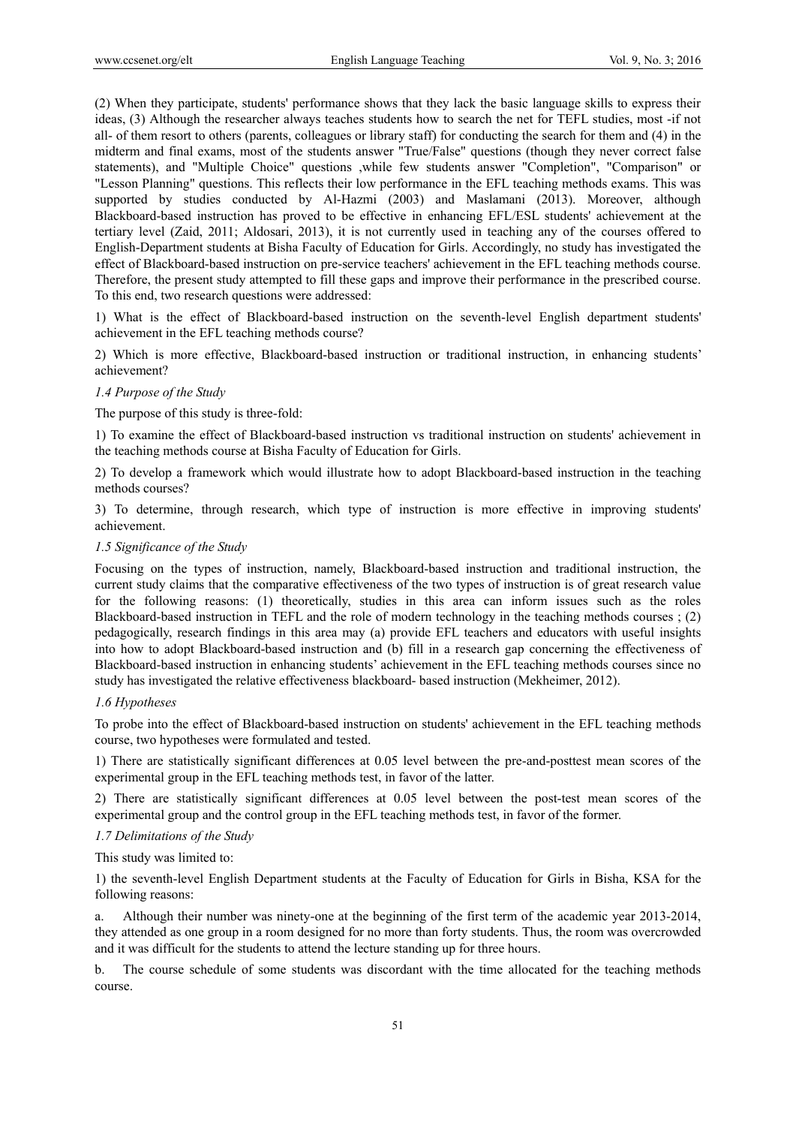(2) When they participate, students' performance shows that they lack the basic language skills to express their ideas, (3) Although the researcher always teaches students how to search the net for TEFL studies, most -if not all- of them resort to others (parents, colleagues or library staff) for conducting the search for them and (4) in the midterm and final exams, most of the students answer "True/False" questions (though they never correct false statements), and "Multiple Choice" questions ,while few students answer "Completion", "Comparison" or "Lesson Planning" questions. This reflects their low performance in the EFL teaching methods exams. This was supported by studies conducted by Al-Hazmi (2003) and Maslamani (2013). Moreover, although Blackboard-based instruction has proved to be effective in enhancing EFL/ESL students' achievement at the tertiary level (Zaid, 2011; Aldosari, 2013), it is not currently used in teaching any of the courses offered to English-Department students at Bisha Faculty of Education for Girls. Accordingly, no study has investigated the effect of Blackboard-based instruction on pre-service teachers' achievement in the EFL teaching methods course. Therefore, the present study attempted to fill these gaps and improve their performance in the prescribed course. To this end, two research questions were addressed:

1) What is the effect of Blackboard-based instruction on the seventh-level English department students' achievement in the EFL teaching methods course?

2) Which is more effective, Blackboard-based instruction or traditional instruction, in enhancing students' achievement?

#### *1.4 Purpose of the Study*

The purpose of this study is three-fold:

1) To examine the effect of Blackboard-based instruction vs traditional instruction on students' achievement in the teaching methods course at Bisha Faculty of Education for Girls.

2) To develop a framework which would illustrate how to adopt Blackboard-based instruction in the teaching methods courses?

3) To determine, through research, which type of instruction is more effective in improving students' achievement.

## *1.5 Significance of the Study*

Focusing on the types of instruction, namely, Blackboard-based instruction and traditional instruction, the current study claims that the comparative effectiveness of the two types of instruction is of great research value for the following reasons: (1) theoretically, studies in this area can inform issues such as the roles Blackboard-based instruction in TEFL and the role of modern technology in the teaching methods courses ; (2) pedagogically, research findings in this area may (a) provide EFL teachers and educators with useful insights into how to adopt Blackboard-based instruction and (b) fill in a research gap concerning the effectiveness of Blackboard-based instruction in enhancing students' achievement in the EFL teaching methods courses since no study has investigated the relative effectiveness blackboard- based instruction (Mekheimer, 2012).

## *1.6 Hypotheses*

To probe into the effect of Blackboard-based instruction on students' achievement in the EFL teaching methods course, two hypotheses were formulated and tested.

1) There are statistically significant differences at 0.05 level between the pre-and-posttest mean scores of the experimental group in the EFL teaching methods test, in favor of the latter.

2) There are statistically significant differences at 0.05 level between the post-test mean scores of the experimental group and the control group in the EFL teaching methods test, in favor of the former.

## *1.7 Delimitations of the Study*

This study was limited to:

1) the seventh-level English Department students at the Faculty of Education for Girls in Bisha, KSA for the following reasons:

a. Although their number was ninety-one at the beginning of the first term of the academic year 2013-2014, they attended as one group in a room designed for no more than forty students. Thus, the room was overcrowded and it was difficult for the students to attend the lecture standing up for three hours.

b. The course schedule of some students was discordant with the time allocated for the teaching methods course.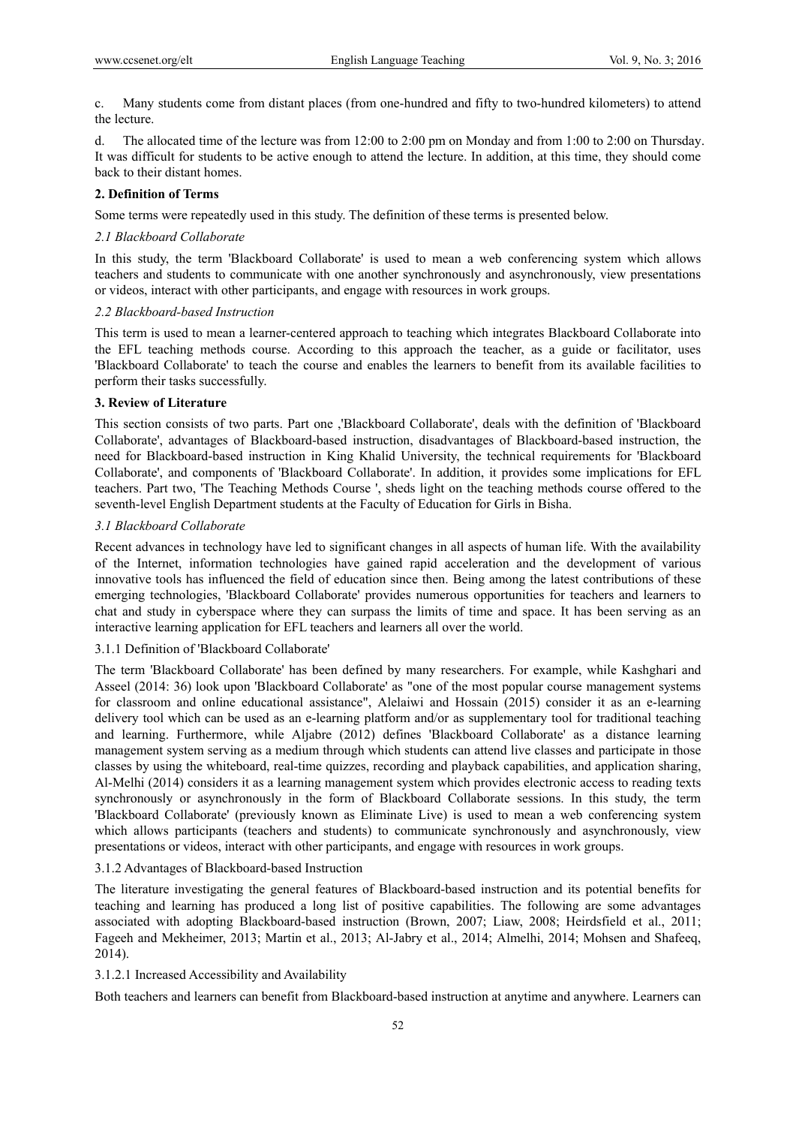c. Many students come from distant places (from one-hundred and fifty to two-hundred kilometers) to attend the lecture.

d. The allocated time of the lecture was from 12:00 to 2:00 pm on Monday and from 1:00 to 2:00 on Thursday. It was difficult for students to be active enough to attend the lecture. In addition, at this time, they should come back to their distant homes.

#### **2. Definition of Terms**

Some terms were repeatedly used in this study. The definition of these terms is presented below.

## *2.1 Blackboard Collaborate*

In this study, the term 'Blackboard Collaborate' is used to mean a web conferencing system which allows teachers and students to communicate with one another synchronously and asynchronously, view presentations or videos, interact with other participants, and engage with resources in work groups.

#### *2.2 Blackboard-based Instruction*

This term is used to mean a learner-centered approach to teaching which integrates Blackboard Collaborate into the EFL teaching methods course. According to this approach the teacher, as a guide or facilitator, uses 'Blackboard Collaborate' to teach the course and enables the learners to benefit from its available facilities to perform their tasks successfully.

# **3. Review of Literature**

This section consists of two parts. Part one ,'Blackboard Collaborate', deals with the definition of 'Blackboard Collaborate', advantages of Blackboard-based instruction, disadvantages of Blackboard-based instruction, the need for Blackboard-based instruction in King Khalid University, the technical requirements for 'Blackboard Collaborate', and components of 'Blackboard Collaborate'. In addition, it provides some implications for EFL teachers. Part two, 'The Teaching Methods Course ', sheds light on the teaching methods course offered to the seventh-level English Department students at the Faculty of Education for Girls in Bisha.

## *3.1 Blackboard Collaborate*

Recent advances in technology have led to significant changes in all aspects of human life. With the availability of the Internet, information technologies have gained rapid acceleration and the development of various innovative tools has influenced the field of education since then. Being among the latest contributions of these emerging technologies, 'Blackboard Collaborate' provides numerous opportunities for teachers and learners to chat and study in cyberspace where they can surpass the limits of time and space. It has been serving as an interactive learning application for EFL teachers and learners all over the world.

#### 3.1.1 Definition of 'Blackboard Collaborate'

The term 'Blackboard Collaborate' has been defined by many researchers. For example, while Kashghari and Asseel (2014: 36) look upon 'Blackboard Collaborate' as "one of the most popular course management systems for classroom and online educational assistance", Alelaiwi and Hossain (2015) consider it as an e-learning delivery tool which can be used as an e-learning platform and/or as supplementary tool for traditional teaching and learning. Furthermore, while Aljabre (2012) defines 'Blackboard Collaborate' as a distance learning management system serving as a medium through which students can attend live classes and participate in those classes by using the whiteboard, real-time quizzes, recording and playback capabilities, and application sharing, Al-Melhi (2014) considers it as a learning management system which provides electronic access to reading texts synchronously or asynchronously in the form of Blackboard Collaborate sessions. In this study, the term 'Blackboard Collaborate' (previously known as Eliminate Live) is used to mean a web conferencing system which allows participants (teachers and students) to communicate synchronously and asynchronously, view presentations or videos, interact with other participants, and engage with resources in work groups.

## 3.1.2 Advantages of Blackboard-based Instruction

The literature investigating the general features of Blackboard-based instruction and its potential benefits for teaching and learning has produced a long list of positive capabilities. The following are some advantages associated with adopting Blackboard-based instruction (Brown, 2007; Liaw, 2008; Heirdsfield et al., 2011; Fageeh and Mekheimer, 2013; Martin et al., 2013; Al-Jabry et al., 2014; Almelhi, 2014; Mohsen and Shafeeq, 2014).

## 3.1.2.1 Increased Accessibility and Availability

Both teachers and learners can benefit from Blackboard-based instruction at anytime and anywhere. Learners can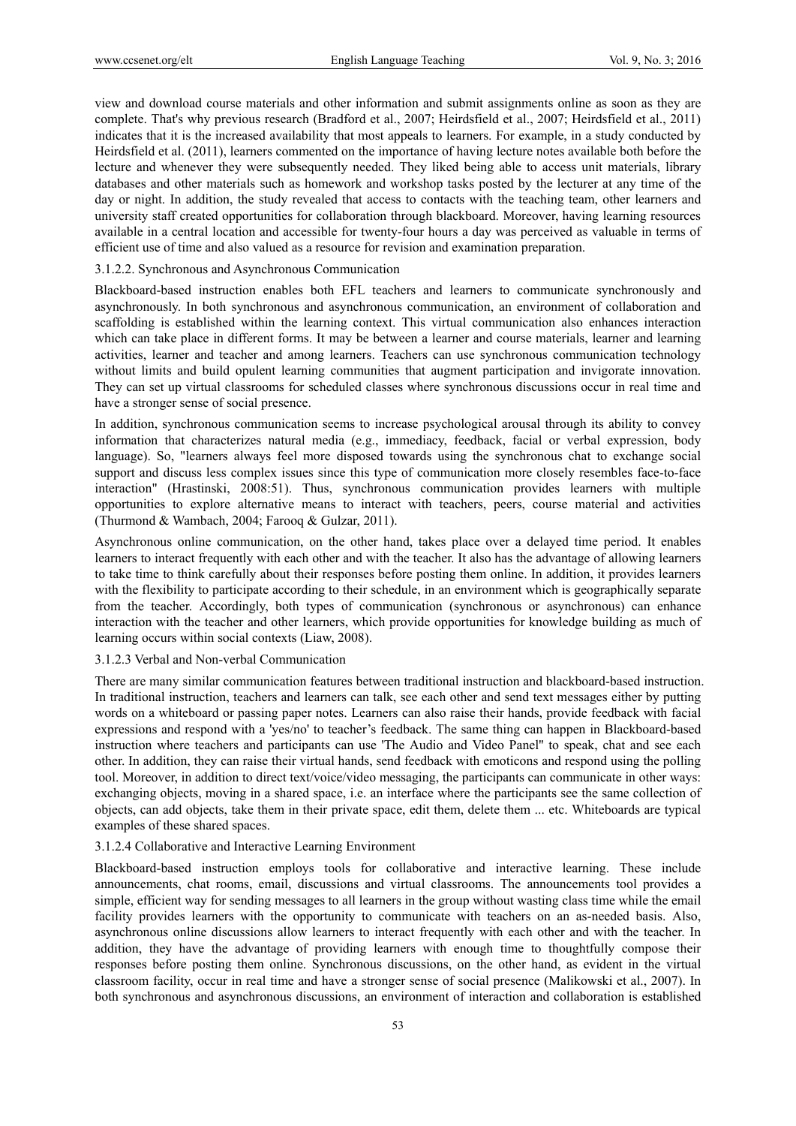view and download course materials and other information and submit assignments online as soon as they are complete. That's why previous research (Bradford et al., 2007; Heirdsfield et al., 2007; Heirdsfield et al., 2011) indicates that it is the increased availability that most appeals to learners. For example, in a study conducted by Heirdsfield et al. (2011), learners commented on the importance of having lecture notes available both before the lecture and whenever they were subsequently needed. They liked being able to access unit materials, library databases and other materials such as homework and workshop tasks posted by the lecturer at any time of the day or night. In addition, the study revealed that access to contacts with the teaching team, other learners and university staff created opportunities for collaboration through blackboard. Moreover, having learning resources available in a central location and accessible for twenty-four hours a day was perceived as valuable in terms of efficient use of time and also valued as a resource for revision and examination preparation.

#### 3.1.2.2. Synchronous and Asynchronous Communication

Blackboard-based instruction enables both EFL teachers and learners to communicate synchronously and asynchronously. In both synchronous and asynchronous communication, an environment of collaboration and scaffolding is established within the learning context. This virtual communication also enhances interaction which can take place in different forms. It may be between a learner and course materials, learner and learning activities, learner and teacher and among learners. Teachers can use synchronous communication technology without limits and build opulent learning communities that augment participation and invigorate innovation. They can set up virtual classrooms for scheduled classes where synchronous discussions occur in real time and have a stronger sense of social presence.

In addition, synchronous communication seems to increase psychological arousal through its ability to convey information that characterizes natural media (e.g., immediacy, feedback, facial or verbal expression, body language). So, "learners always feel more disposed towards using the synchronous chat to exchange social support and discuss less complex issues since this type of communication more closely resembles face-to-face interaction" (Hrastinski, 2008:51). Thus, synchronous communication provides learners with multiple opportunities to explore alternative means to interact with teachers, peers, course material and activities (Thurmond & Wambach, 2004; Farooq & Gulzar, 2011).

Asynchronous online communication, on the other hand, takes place over a delayed time period. It enables learners to interact frequently with each other and with the teacher. It also has the advantage of allowing learners to take time to think carefully about their responses before posting them online. In addition, it provides learners with the flexibility to participate according to their schedule, in an environment which is geographically separate from the teacher. Accordingly, both types of communication (synchronous or asynchronous) can enhance interaction with the teacher and other learners, which provide opportunities for knowledge building as much of learning occurs within social contexts (Liaw, 2008).

## 3.1.2.3 Verbal and Non-verbal Communication

There are many similar communication features between traditional instruction and blackboard-based instruction. In traditional instruction, teachers and learners can talk, see each other and send text messages either by putting words on a whiteboard or passing paper notes. Learners can also raise their hands, provide feedback with facial expressions and respond with a 'yes/no' to teacher's feedback. The same thing can happen in Blackboard-based instruction where teachers and participants can use 'The Audio and Video Panel'' to speak, chat and see each other. In addition, they can raise their virtual hands, send feedback with emoticons and respond using the polling tool. Moreover, in addition to direct text/voice/video messaging, the participants can communicate in other ways: exchanging objects, moving in a shared space, i.e. an interface where the participants see the same collection of objects, can add objects, take them in their private space, edit them, delete them ... etc. Whiteboards are typical examples of these shared spaces.

## 3.1.2.4 Collaborative and Interactive Learning Environment

Blackboard-based instruction employs tools for collaborative and interactive learning. These include announcements, chat rooms, email, discussions and virtual classrooms. The announcements tool provides a simple, efficient way for sending messages to all learners in the group without wasting class time while the email facility provides learners with the opportunity to communicate with teachers on an as-needed basis. Also, asynchronous online discussions allow learners to interact frequently with each other and with the teacher. In addition, they have the advantage of providing learners with enough time to thoughtfully compose their responses before posting them online. Synchronous discussions, on the other hand, as evident in the virtual classroom facility, occur in real time and have a stronger sense of social presence (Malikowski et al., 2007). In both synchronous and asynchronous discussions, an environment of interaction and collaboration is established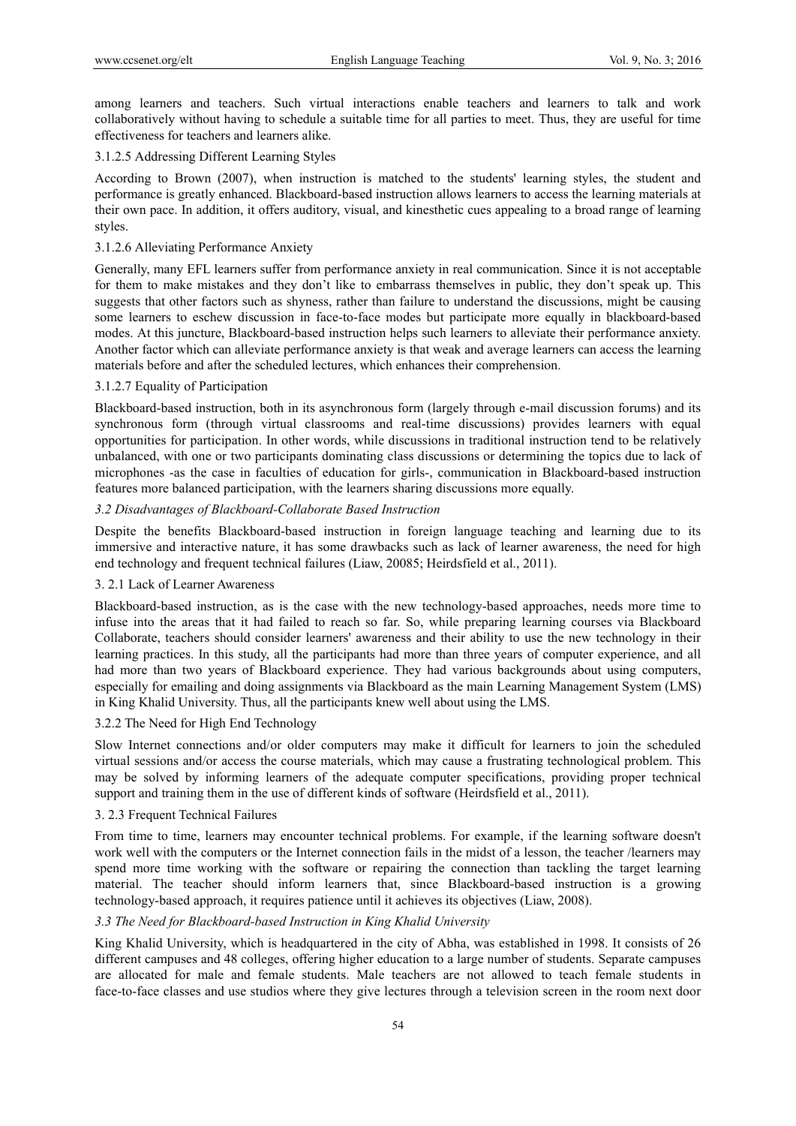among learners and teachers. Such virtual interactions enable teachers and learners to talk and work collaboratively without having to schedule a suitable time for all parties to meet. Thus, they are useful for time effectiveness for teachers and learners alike.

#### 3.1.2.5 Addressing Different Learning Styles

According to Brown (2007), when instruction is matched to the students' learning styles, the student and performance is greatly enhanced. Blackboard-based instruction allows learners to access the learning materials at their own pace. In addition, it offers auditory, visual, and kinesthetic cues appealing to a broad range of learning styles.

## 3.1.2.6 Alleviating Performance Anxiety

Generally, many EFL learners suffer from performance anxiety in real communication. Since it is not acceptable for them to make mistakes and they don't like to embarrass themselves in public, they don't speak up. This suggests that other factors such as shyness, rather than failure to understand the discussions, might be causing some learners to eschew discussion in face-to-face modes but participate more equally in blackboard-based modes. At this juncture, Blackboard-based instruction helps such learners to alleviate their performance anxiety. Another factor which can alleviate performance anxiety is that weak and average learners can access the learning materials before and after the scheduled lectures, which enhances their comprehension.

# 3.1.2.7 Equality of Participation

Blackboard-based instruction, both in its asynchronous form (largely through e-mail discussion forums) and its synchronous form (through virtual classrooms and real-time discussions) provides learners with equal opportunities for participation. In other words, while discussions in traditional instruction tend to be relatively unbalanced, with one or two participants dominating class discussions or determining the topics due to lack of microphones -as the case in faculties of education for girls-, communication in Blackboard-based instruction features more balanced participation, with the learners sharing discussions more equally.

## *3.2 Disadvantages of Blackboard-Collaborate Based Instruction*

Despite the benefits Blackboard-based instruction in foreign language teaching and learning due to its immersive and interactive nature, it has some drawbacks such as lack of learner awareness, the need for high end technology and frequent technical failures (Liaw, 20085; Heirdsfield et al., 2011).

## 3. 2.1 Lack of Learner Awareness

Blackboard-based instruction, as is the case with the new technology-based approaches, needs more time to infuse into the areas that it had failed to reach so far. So, while preparing learning courses via Blackboard Collaborate, teachers should consider learners' awareness and their ability to use the new technology in their learning practices. In this study, all the participants had more than three years of computer experience, and all had more than two years of Blackboard experience. They had various backgrounds about using computers, especially for emailing and doing assignments via Blackboard as the main Learning Management System (LMS) in King Khalid University. Thus, all the participants knew well about using the LMS.

## 3.2.2 The Need for High End Technology

Slow Internet connections and/or older computers may make it difficult for learners to join the scheduled virtual sessions and/or access the course materials, which may cause a frustrating technological problem. This may be solved by informing learners of the adequate computer specifications, providing proper technical support and training them in the use of different kinds of software (Heirdsfield et al., 2011).

## 3. 2.3 Frequent Technical Failures

From time to time, learners may encounter technical problems. For example, if the learning software doesn't work well with the computers or the Internet connection fails in the midst of a lesson, the teacher /learners may spend more time working with the software or repairing the connection than tackling the target learning material. The teacher should inform learners that, since Blackboard-based instruction is a growing technology-based approach, it requires patience until it achieves its objectives (Liaw, 2008).

## *3.3 The Need for Blackboard-based Instruction in King Khalid University*

King Khalid University, which is headquartered in the city of Abha, was established in 1998. It consists of 26 different campuses and 48 colleges, offering higher education to a large number of students. Separate campuses are allocated for male and female students. Male teachers are not allowed to teach female students in face-to-face classes and use studios where they give lectures through a television screen in the room next door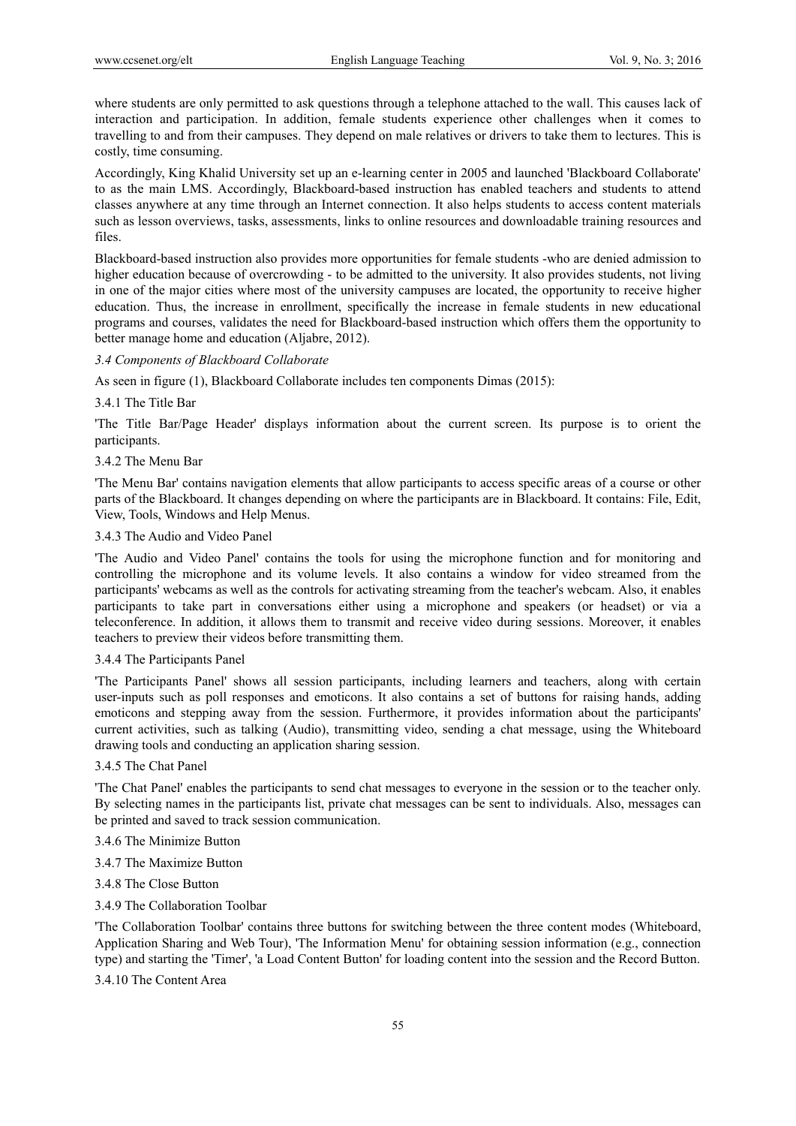where students are only permitted to ask questions through a telephone attached to the wall. This causes lack of interaction and participation. In addition, female students experience other challenges when it comes to travelling to and from their campuses. They depend on male relatives or drivers to take them to lectures. This is costly, time consuming.

Accordingly, King Khalid University set up an e-learning center in 2005 and launched 'Blackboard Collaborate' to as the main LMS. Accordingly, Blackboard-based instruction has enabled teachers and students to attend classes anywhere at any time through an Internet connection. It also helps students to access content materials such as lesson overviews, tasks, assessments, links to online resources and downloadable training resources and files.

Blackboard-based instruction also provides more opportunities for female students -who are denied admission to higher education because of overcrowding - to be admitted to the university. It also provides students, not living in one of the major cities where most of the university campuses are located, the opportunity to receive higher education. Thus, the increase in enrollment, specifically the increase in female students in new educational programs and courses, validates the need for Blackboard-based instruction which offers them the opportunity to better manage home and education (Aljabre, 2012).

*3.4 Components of Blackboard Collaborate* 

As seen in figure (1), Blackboard Collaborate includes ten components Dimas (2015):

## 3.4.1 The Title Bar

'The Title Bar/Page Header' displays information about the current screen. Its purpose is to orient the participants.

## 3.4.2 The Menu Bar

'The Menu Bar' contains navigation elements that allow participants to access specific areas of a course or other parts of the Blackboard. It changes depending on where the participants are in Blackboard. It contains: File, Edit, View, Tools, Windows and Help Menus.

#### 3.4.3 The Audio and Video Panel

'The Audio and Video Panel' contains the tools for using the microphone function and for monitoring and controlling the microphone and its volume levels. It also contains a window for video streamed from the participants' webcams as well as the controls for activating streaming from the teacher's webcam. Also, it enables participants to take part in conversations either using a microphone and speakers (or headset) or via a teleconference. In addition, it allows them to transmit and receive video during sessions. Moreover, it enables teachers to preview their videos before transmitting them.

#### 3.4.4 The Participants Panel

'The Participants Panel' shows all session participants, including learners and teachers, along with certain user-inputs such as poll responses and emoticons. It also contains a set of buttons for raising hands, adding emoticons and stepping away from the session. Furthermore, it provides information about the participants' current activities, such as talking (Audio), transmitting video, sending a chat message, using the Whiteboard drawing tools and conducting an application sharing session.

## 3.4.5 The Chat Panel

'The Chat Panel' enables the participants to send chat messages to everyone in the session or to the teacher only. By selecting names in the participants list, private chat messages can be sent to individuals. Also, messages can be printed and saved to track session communication.

#### 3.4.6 The Minimize Button

- 3.4.7 The Maximize Button
- 3.4.8 The Close Button
- 3.4.9 The Collaboration Toolbar

'The Collaboration Toolbar' contains three buttons for switching between the three content modes (Whiteboard, Application Sharing and Web Tour), 'The Information Menu' for obtaining session information (e.g., connection type) and starting the 'Timer', 'a Load Content Button' for loading content into the session and the Record Button.

3.4.10 The Content Area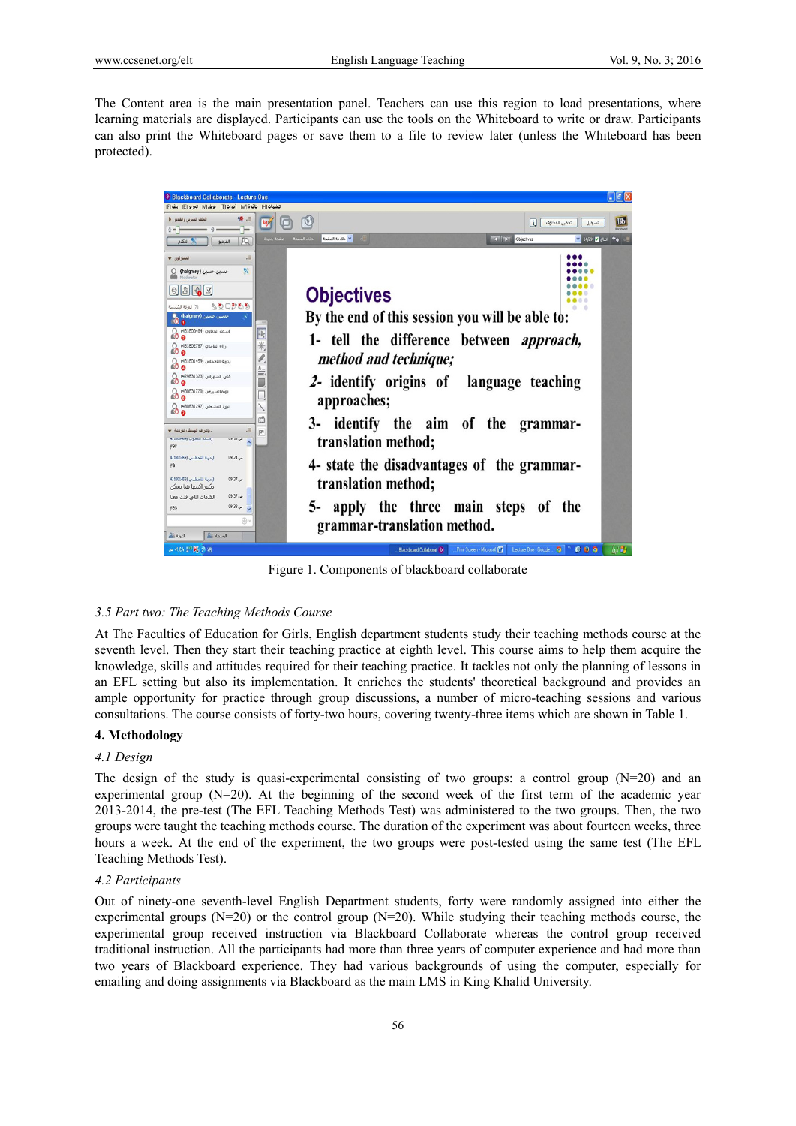The Content area is the main presentation panel. Teachers can use this region to load presentations, where learning materials are displayed. Participants can use the tools on the Whiteboard to write or draw. Participants can also print the Whiteboard pages or save them to a file to review later (unless the Whiteboard has been protected).



Figure 1. Components of blackboard collaborate

# *3.5 Part two: The Teaching Methods Course*

At The Faculties of Education for Girls, English department students study their teaching methods course at the seventh level. Then they start their teaching practice at eighth level. This course aims to help them acquire the knowledge, skills and attitudes required for their teaching practice. It tackles not only the planning of lessons in an EFL setting but also its implementation. It enriches the students' theoretical background and provides an ample opportunity for practice through group discussions, a number of micro-teaching sessions and various consultations. The course consists of forty-two hours, covering twenty-three items which are shown in Table 1.

## **4. Methodology**

## *4.1 Design*

The design of the study is quasi-experimental consisting of two groups: a control group  $(N=20)$  and an experimental group  $(N=20)$ . At the beginning of the second week of the first term of the academic year 2013-2014, the pre-test (The EFL Teaching Methods Test) was administered to the two groups. Then, the two groups were taught the teaching methods course. The duration of the experiment was about fourteen weeks, three hours a week. At the end of the experiment, the two groups were post-tested using the same test (The EFL Teaching Methods Test).

## *4.2 Participants*

Out of ninety-one seventh-level English Department students, forty were randomly assigned into either the experimental groups  $(N=20)$  or the control group  $(N=20)$ . While studying their teaching methods course, the experimental group received instruction via Blackboard Collaborate whereas the control group received traditional instruction. All the participants had more than three years of computer experience and had more than two years of Blackboard experience. They had various backgrounds of using the computer, especially for emailing and doing assignments via Blackboard as the main LMS in King Khalid University.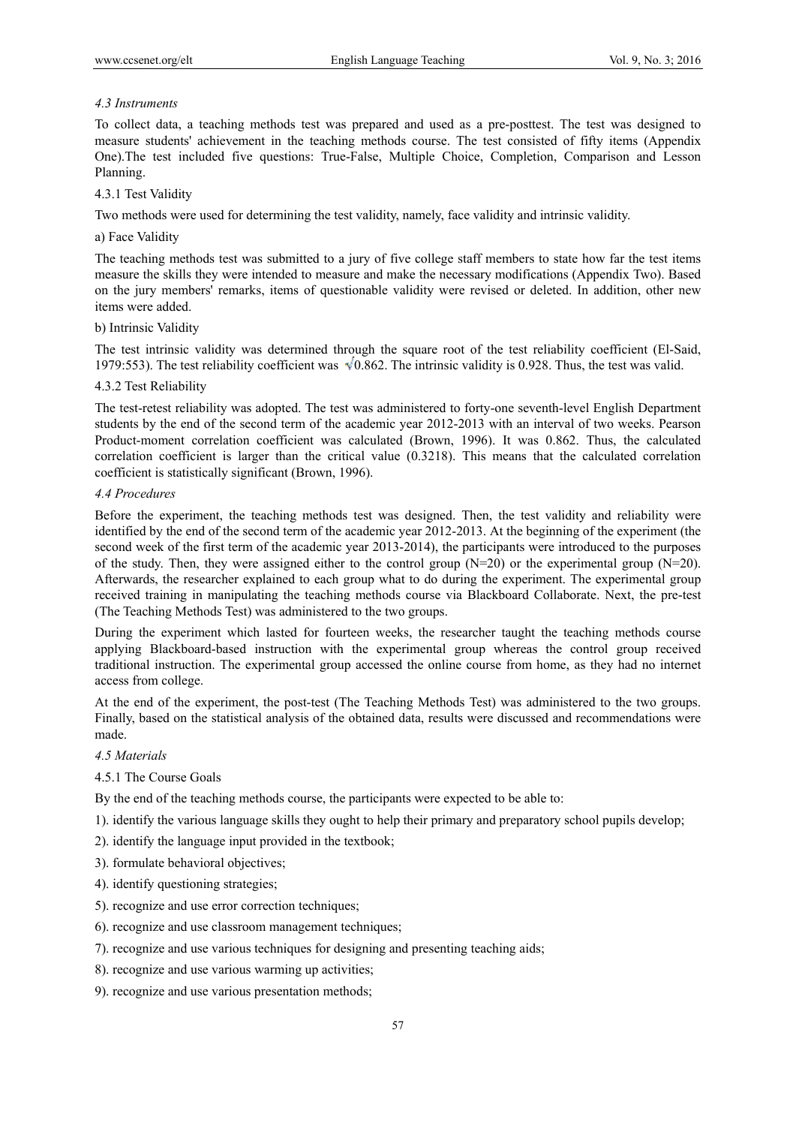#### *4.3 Instruments*

To collect data, a teaching methods test was prepared and used as a pre-posttest. The test was designed to measure students' achievement in the teaching methods course. The test consisted of fifty items (Appendix One).The test included five questions: True-False, Multiple Choice, Completion, Comparison and Lesson Planning.

#### 4.3.1 Test Validity

Two methods were used for determining the test validity, namely, face validity and intrinsic validity.

## a) Face Validity

The teaching methods test was submitted to a jury of five college staff members to state how far the test items measure the skills they were intended to measure and make the necessary modifications (Appendix Two). Based on the jury members' remarks, items of questionable validity were revised or deleted. In addition, other new items were added.

# b) Intrinsic Validity

The test intrinsic validity was determined through the square root of the test reliability coefficient (El-Said, 1979:553). The test reliability coefficient was  $\sqrt{0.862}$ . The intrinsic validity is 0.928. Thus, the test was valid.

# 4.3.2 Test Reliability

The test-retest reliability was adopted. The test was administered to forty-one seventh-level English Department students by the end of the second term of the academic year 2012-2013 with an interval of two weeks. Pearson Product-moment correlation coefficient was calculated (Brown, 1996). It was 0.862. Thus, the calculated correlation coefficient is larger than the critical value (0.3218). This means that the calculated correlation coefficient is statistically significant (Brown, 1996).

## *4.4 Procedures*

Before the experiment, the teaching methods test was designed. Then, the test validity and reliability were identified by the end of the second term of the academic year 2012-2013. At the beginning of the experiment (the second week of the first term of the academic year 2013-2014), the participants were introduced to the purposes of the study. Then, they were assigned either to the control group  $(N=20)$  or the experimental group  $(N=20)$ . Afterwards, the researcher explained to each group what to do during the experiment. The experimental group received training in manipulating the teaching methods course via Blackboard Collaborate. Next, the pre-test (The Teaching Methods Test) was administered to the two groups.

During the experiment which lasted for fourteen weeks, the researcher taught the teaching methods course applying Blackboard-based instruction with the experimental group whereas the control group received traditional instruction. The experimental group accessed the online course from home, as they had no internet access from college.

At the end of the experiment, the post-test (The Teaching Methods Test) was administered to the two groups. Finally, based on the statistical analysis of the obtained data, results were discussed and recommendations were made.

## *4.5 Materials*

## 4.5.1 The Course Goals

By the end of the teaching methods course, the participants were expected to be able to:

- 1). identify the various language skills they ought to help their primary and preparatory school pupils develop;
- 2). identify the language input provided in the textbook;
- 3). formulate behavioral objectives;
- 4). identify questioning strategies;
- 5). recognize and use error correction techniques;
- 6). recognize and use classroom management techniques;
- 7). recognize and use various techniques for designing and presenting teaching aids;
- 8). recognize and use various warming up activities;
- 9). recognize and use various presentation methods;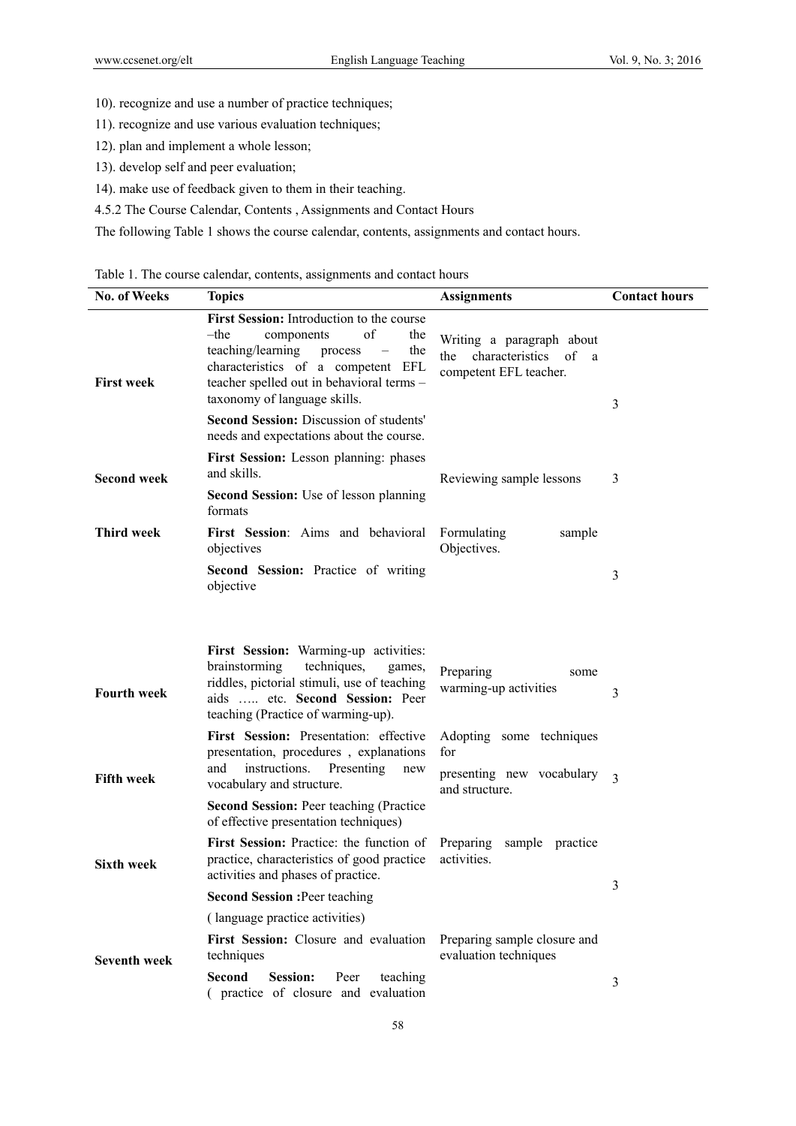- 10). recognize and use a number of practice techniques;
- 11). recognize and use various evaluation techniques;
- 12). plan and implement a whole lesson;
- 13). develop self and peer evaluation;
- 14). make use of feedback given to them in their teaching.
- 4.5.2 The Course Calendar, Contents , Assignments and Contact Hours

The following Table 1 shows the course calendar, contents, assignments and contact hours.

Table 1. The course calendar, contents, assignments and contact hours

| <b>No. of Weeks</b> | <b>Topics</b>                                                                                                                                                                                                                                                         | <b>Assignments</b>                                                                    | <b>Contact hours</b> |
|---------------------|-----------------------------------------------------------------------------------------------------------------------------------------------------------------------------------------------------------------------------------------------------------------------|---------------------------------------------------------------------------------------|----------------------|
| <b>First week</b>   | First Session: Introduction to the course<br>of<br>-the<br>components<br>the<br>teaching/learning<br>the<br>process<br>$\overline{\phantom{m}}$<br>characteristics of a competent<br>EFL<br>teacher spelled out in behavioral terms -<br>taxonomy of language skills. | Writing a paragraph about<br>characteristics<br>of a<br>the<br>competent EFL teacher. | 3                    |
|                     | <b>Second Session:</b> Discussion of students'<br>needs and expectations about the course.                                                                                                                                                                            |                                                                                       |                      |
| <b>Second week</b>  | First Session: Lesson planning: phases<br>and skills.                                                                                                                                                                                                                 | Reviewing sample lessons                                                              | 3                    |
|                     | Second Session: Use of lesson planning<br>formats                                                                                                                                                                                                                     |                                                                                       |                      |
| <b>Third week</b>   | First Session: Aims and behavioral<br>objectives                                                                                                                                                                                                                      | Formulating<br>sample<br>Objectives.                                                  |                      |
|                     | Second Session: Practice of writing<br>objective                                                                                                                                                                                                                      |                                                                                       | 3                    |
|                     |                                                                                                                                                                                                                                                                       |                                                                                       |                      |
| <b>Fourth week</b>  | First Session: Warming-up activities:<br>techniques,<br>brainstorming<br>games,<br>riddles, pictorial stimuli, use of teaching<br>aids  etc. Second Session: Peer<br>teaching (Practice of warming-up).                                                               | Preparing<br>some<br>warming-up activities                                            | 3                    |
| <b>Fifth week</b>   | First Session: Presentation: effective<br>presentation, procedures, explanations<br>and<br>instructions.<br>Presenting<br>new<br>vocabulary and structure.                                                                                                            | Adopting some techniques<br>for<br>presenting new vocabulary                          | $\mathbf{3}$         |
|                     | <b>Second Session: Peer teaching (Practice)</b><br>of effective presentation techniques)                                                                                                                                                                              | and structure.                                                                        |                      |
| Sixth week          | First Session: Practice: the function of<br>practice, characteristics of good practice<br>activities and phases of practice.                                                                                                                                          | Preparing<br>sample practice<br>activities.                                           |                      |
|                     | <b>Second Session : Peer teaching</b>                                                                                                                                                                                                                                 |                                                                                       | 3                    |
| <b>Seventh week</b> | (language practice activities)<br>First Session: Closure and evaluation<br>techniques<br><b>Second</b><br><b>Session:</b><br>Peer<br>teaching                                                                                                                         | Preparing sample closure and<br>evaluation techniques                                 | 3                    |
|                     | (practice of closure and evaluation                                                                                                                                                                                                                                   |                                                                                       |                      |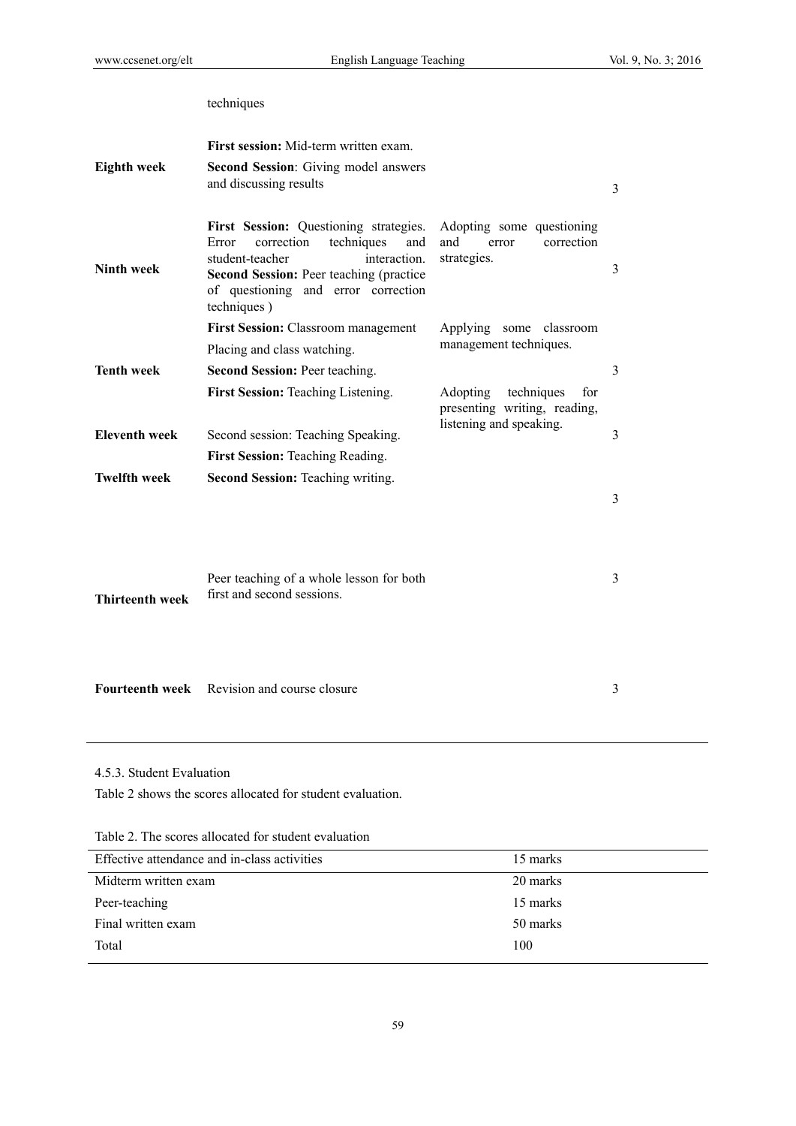|                        | techniques                                                                                                                                                                                                                     |                                                                                          |   |
|------------------------|--------------------------------------------------------------------------------------------------------------------------------------------------------------------------------------------------------------------------------|------------------------------------------------------------------------------------------|---|
| <b>Eighth week</b>     | <b>First session:</b> Mid-term written exam.<br>Second Session: Giving model answers<br>and discussing results                                                                                                                 |                                                                                          | 3 |
| <b>Ninth week</b>      | First Session: Questioning strategies.<br>techniques<br>correction<br>Error<br>and<br>interaction.<br>student-teacher<br><b>Second Session: Peer teaching (practice)</b><br>of questioning and error correction<br>techniques) | Adopting some questioning<br>and<br>correction<br>error<br>strategies.                   | 3 |
| <b>Tenth week</b>      | First Session: Classroom management<br>Placing and class watching.<br>Second Session: Peer teaching.                                                                                                                           | Applying some classroom<br>management techniques.                                        | 3 |
| <b>Eleventh week</b>   | First Session: Teaching Listening.<br>Second session: Teaching Speaking.                                                                                                                                                       | Adopting<br>for<br>techniques<br>presenting writing, reading,<br>listening and speaking. | 3 |
|                        | First Session: Teaching Reading.                                                                                                                                                                                               |                                                                                          |   |
| <b>Twelfth week</b>    | Second Session: Teaching writing.                                                                                                                                                                                              |                                                                                          |   |
|                        |                                                                                                                                                                                                                                |                                                                                          | 3 |
| <b>Thirteenth week</b> | Peer teaching of a whole lesson for both<br>first and second sessions.                                                                                                                                                         |                                                                                          | 3 |
| <b>Fourteenth week</b> | Revision and course closure                                                                                                                                                                                                    |                                                                                          | 3 |

# 4.5.3. Student Evaluation

Table 2 shows the scores allocated for student evaluation.

| Table 2. The scores allocated for student evaluation |
|------------------------------------------------------|
|------------------------------------------------------|

| Effective attendance and in-class activities | 15 marks |
|----------------------------------------------|----------|
| Midterm written exam                         | 20 marks |
| Peer-teaching                                | 15 marks |
| Final written exam                           | 50 marks |
| Total                                        | 100      |
|                                              |          |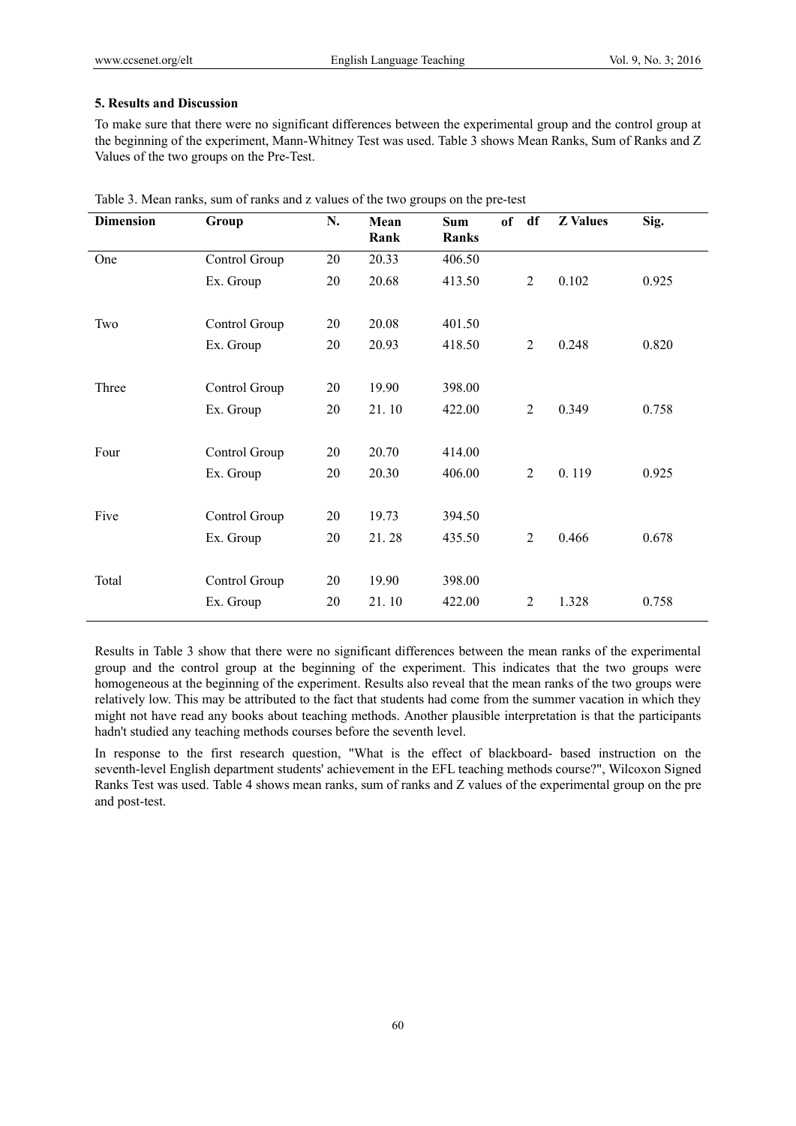## **5. Results and Discussion**

To make sure that there were no significant differences between the experimental group and the control group at the beginning of the experiment, Mann-Whitney Test was used. Table 3 shows Mean Ranks, Sum of Ranks and Z Values of the two groups on the Pre-Test.

| <b>Dimension</b> | Group         | N. | Mean<br>Rank | <sub>of</sub><br><b>Sum</b><br><b>Ranks</b> | df             | <b>Z</b> Values | Sig.  |
|------------------|---------------|----|--------------|---------------------------------------------|----------------|-----------------|-------|
| One              | Control Group | 20 | 20.33        | 406.50                                      |                |                 |       |
|                  | Ex. Group     | 20 | 20.68        | 413.50                                      | $\overline{2}$ | 0.102           | 0.925 |
|                  |               |    |              |                                             |                |                 |       |
| Two              | Control Group | 20 | 20.08        | 401.50                                      |                |                 |       |
|                  | Ex. Group     | 20 | 20.93        | 418.50                                      | $\overline{2}$ | 0.248           | 0.820 |
|                  |               |    |              |                                             |                |                 |       |
| Three            | Control Group | 20 | 19.90        | 398.00                                      |                |                 |       |
|                  | Ex. Group     | 20 | 21.10        | 422.00                                      | $\overline{2}$ | 0.349           | 0.758 |
|                  |               |    |              |                                             |                |                 |       |
| Four             | Control Group | 20 | 20.70        | 414.00                                      |                |                 |       |
|                  | Ex. Group     | 20 | 20.30        | 406.00                                      | $\overline{2}$ | 0.119           | 0.925 |
|                  |               |    |              |                                             |                |                 |       |
| Five             | Control Group | 20 | 19.73        | 394.50                                      |                |                 |       |
|                  | Ex. Group     | 20 | 21.28        | 435.50                                      | $\overline{2}$ | 0.466           | 0.678 |
|                  |               |    |              |                                             |                |                 |       |
| Total            | Control Group | 20 | 19.90        | 398.00                                      |                |                 |       |
|                  | Ex. Group     | 20 | 21.10        | 422.00                                      | $\overline{2}$ | 1.328           | 0.758 |
|                  |               |    |              |                                             |                |                 |       |

Table 3. Mean ranks, sum of ranks and z values of the two groups on the pre-test

Results in Table 3 show that there were no significant differences between the mean ranks of the experimental group and the control group at the beginning of the experiment. This indicates that the two groups were homogeneous at the beginning of the experiment. Results also reveal that the mean ranks of the two groups were relatively low. This may be attributed to the fact that students had come from the summer vacation in which they might not have read any books about teaching methods. Another plausible interpretation is that the participants hadn't studied any teaching methods courses before the seventh level.

In response to the first research question, "What is the effect of blackboard- based instruction on the seventh-level English department students' achievement in the EFL teaching methods course?", Wilcoxon Signed Ranks Test was used. Table 4 shows mean ranks, sum of ranks and Z values of the experimental group on the pre and post-test.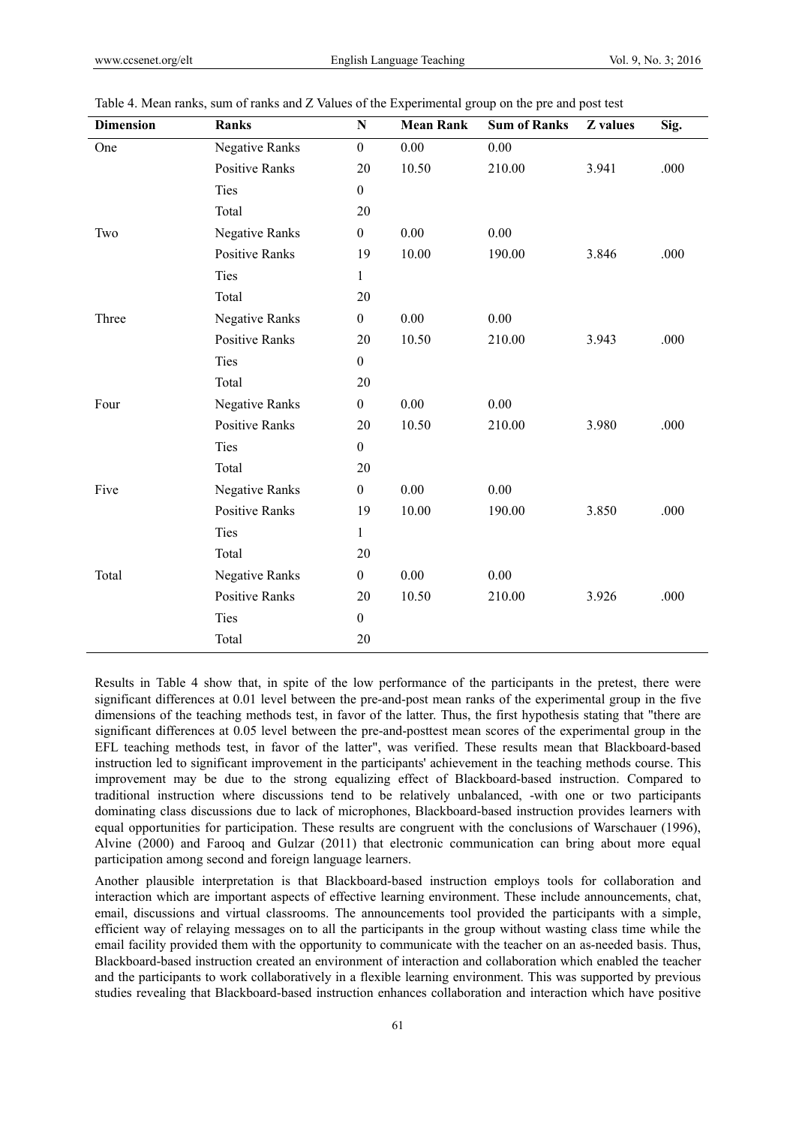| <b>Dimension</b> | <b>Ranks</b>          | ${\bf N}$        | <b>Mean Rank</b> | <b>Sum of Ranks</b> | Z values | Sig. |
|------------------|-----------------------|------------------|------------------|---------------------|----------|------|
| One              | <b>Negative Ranks</b> | $\boldsymbol{0}$ | 0.00             | 0.00                |          |      |
|                  | <b>Positive Ranks</b> | 20               | 10.50            | 210.00              | 3.941    | .000 |
|                  | Ties                  | $\boldsymbol{0}$ |                  |                     |          |      |
|                  | Total                 | 20               |                  |                     |          |      |
| Two              | <b>Negative Ranks</b> | $\boldsymbol{0}$ | 0.00             | 0.00                |          |      |
|                  | <b>Positive Ranks</b> | 19               | 10.00            | 190.00              | 3.846    | .000 |
|                  | Ties                  | 1                |                  |                     |          |      |
|                  | Total                 | 20               |                  |                     |          |      |
| Three            | <b>Negative Ranks</b> | $\boldsymbol{0}$ | 0.00             | 0.00                |          |      |
|                  | <b>Positive Ranks</b> | 20               | 10.50            | 210.00              | 3.943    | .000 |
|                  | Ties                  | $\boldsymbol{0}$ |                  |                     |          |      |
|                  | Total                 | 20               |                  |                     |          |      |
| Four             | <b>Negative Ranks</b> | $\boldsymbol{0}$ | $0.00\,$         | 0.00                |          |      |
|                  | <b>Positive Ranks</b> | 20               | 10.50            | 210.00              | 3.980    | .000 |
|                  | Ties                  | $\boldsymbol{0}$ |                  |                     |          |      |
|                  | Total                 | 20               |                  |                     |          |      |
| Five             | <b>Negative Ranks</b> | $\boldsymbol{0}$ | $0.00\,$         | 0.00                |          |      |
|                  | <b>Positive Ranks</b> | 19               | 10.00            | 190.00              | 3.850    | .000 |
|                  | Ties                  | $\mathbf{1}$     |                  |                     |          |      |
|                  | Total                 | 20               |                  |                     |          |      |
| Total            | <b>Negative Ranks</b> | $\boldsymbol{0}$ | $0.00\,$         | 0.00                |          |      |
|                  | <b>Positive Ranks</b> | 20               | 10.50            | 210.00              | 3.926    | .000 |
|                  | Ties                  | $\boldsymbol{0}$ |                  |                     |          |      |
|                  | Total                 | 20               |                  |                     |          |      |

Table 4. Mean ranks, sum of ranks and Z Values of the Experimental group on the pre and post test

Results in Table 4 show that, in spite of the low performance of the participants in the pretest, there were significant differences at 0.01 level between the pre-and-post mean ranks of the experimental group in the five dimensions of the teaching methods test, in favor of the latter. Thus, the first hypothesis stating that "there are significant differences at 0.05 level between the pre-and-posttest mean scores of the experimental group in the EFL teaching methods test, in favor of the latter", was verified. These results mean that Blackboard-based instruction led to significant improvement in the participants' achievement in the teaching methods course. This improvement may be due to the strong equalizing effect of Blackboard-based instruction. Compared to traditional instruction where discussions tend to be relatively unbalanced, -with one or two participants dominating class discussions due to lack of microphones, Blackboard-based instruction provides learners with equal opportunities for participation. These results are congruent with the conclusions of Warschauer (1996), Alvine (2000) and Farooq and Gulzar (2011) that electronic communication can bring about more equal participation among second and foreign language learners.

Another plausible interpretation is that Blackboard-based instruction employs tools for collaboration and interaction which are important aspects of effective learning environment. These include announcements, chat, email, discussions and virtual classrooms. The announcements tool provided the participants with a simple, efficient way of relaying messages on to all the participants in the group without wasting class time while the email facility provided them with the opportunity to communicate with the teacher on an as-needed basis. Thus, Blackboard-based instruction created an environment of interaction and collaboration which enabled the teacher and the participants to work collaboratively in a flexible learning environment. This was supported by previous studies revealing that Blackboard-based instruction enhances collaboration and interaction which have positive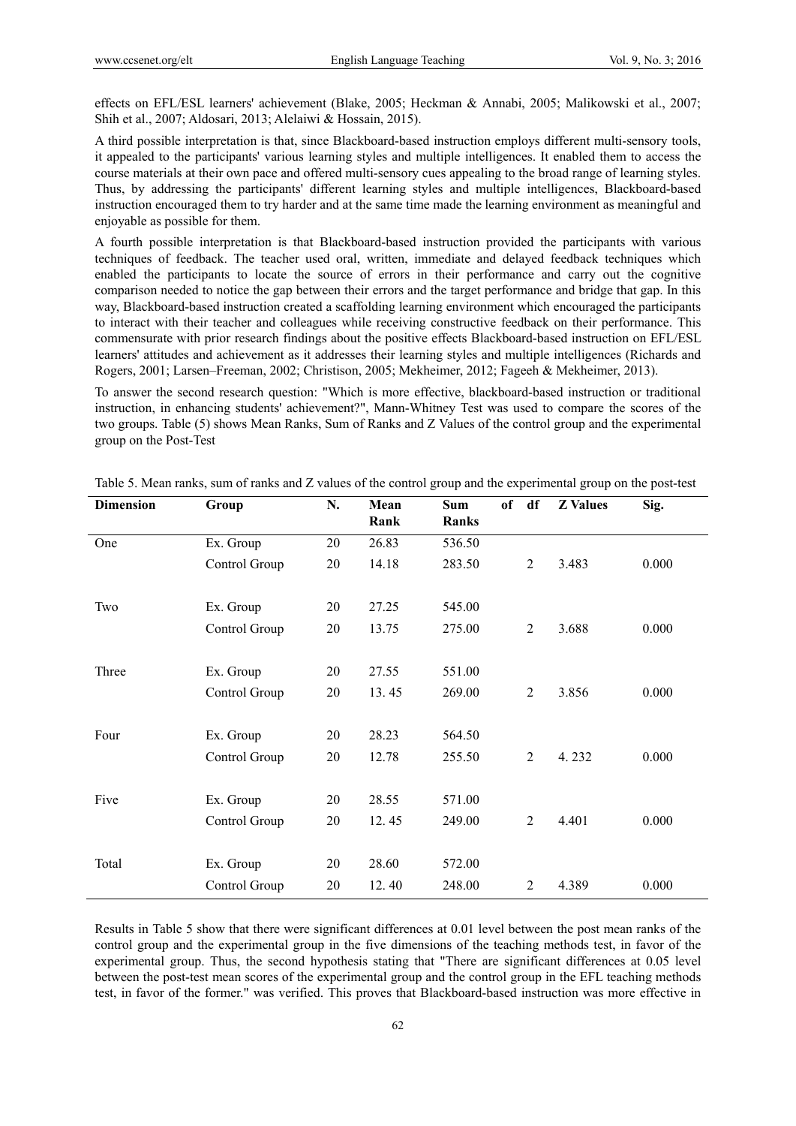effects on EFL/ESL learners' achievement (Blake, 2005; Heckman & Annabi, 2005; Malikowski et al., 2007; Shih et al., 2007; Aldosari, 2013; Alelaiwi & Hossain, 2015).

A third possible interpretation is that, since Blackboard-based instruction employs different multi-sensory tools, it appealed to the participants' various learning styles and multiple intelligences. It enabled them to access the course materials at their own pace and offered multi-sensory cues appealing to the broad range of learning styles. Thus, by addressing the participants' different learning styles and multiple intelligences, Blackboard-based instruction encouraged them to try harder and at the same time made the learning environment as meaningful and enjoyable as possible for them.

A fourth possible interpretation is that Blackboard-based instruction provided the participants with various techniques of feedback. The teacher used oral, written, immediate and delayed feedback techniques which enabled the participants to locate the source of errors in their performance and carry out the cognitive comparison needed to notice the gap between their errors and the target performance and bridge that gap. In this way, Blackboard-based instruction created a scaffolding learning environment which encouraged the participants to interact with their teacher and colleagues while receiving constructive feedback on their performance. This commensurate with prior research findings about the positive effects Blackboard-based instruction on EFL/ESL learners' attitudes and achievement as it addresses their learning styles and multiple intelligences (Richards and Rogers, 2001; Larsen–Freeman, 2002; Christison, 2005; Mekheimer, 2012; Fageeh & Mekheimer, 2013).

To answer the second research question: "Which is more effective, blackboard-based instruction or traditional instruction, in enhancing students' achievement?", Mann-Whitney Test was used to compare the scores of the two groups. Table (5) shows Mean Ranks, Sum of Ranks and Z Values of the control group and the experimental group on the Post-Test

| <b>Dimension</b> | Group         | N. | Mean<br>Rank | <sub>of</sub><br><b>Sum</b><br>Ranks | df             | <b>Z</b> Values | Sig.  |
|------------------|---------------|----|--------------|--------------------------------------|----------------|-----------------|-------|
| One              | Ex. Group     | 20 | 26.83        | 536.50                               |                |                 |       |
|                  | Control Group | 20 | 14.18        | 283.50                               | $\overline{2}$ | 3.483           | 0.000 |
| Two              | Ex. Group     | 20 | 27.25        | 545.00                               |                |                 |       |
|                  | Control Group | 20 | 13.75        | 275.00                               | $\overline{2}$ | 3.688           | 0.000 |
| Three            | Ex. Group     | 20 | 27.55        | 551.00                               |                |                 |       |
|                  | Control Group | 20 | 13.45        | 269.00                               | $\overline{2}$ | 3.856           | 0.000 |
| Four             | Ex. Group     | 20 | 28.23        | 564.50                               |                |                 |       |
|                  | Control Group | 20 | 12.78        | 255.50                               | $\overline{2}$ | 4.232           | 0.000 |
| Five             | Ex. Group     | 20 | 28.55        | 571.00                               |                |                 |       |
|                  | Control Group | 20 | 12.45        | 249.00                               | $\overline{2}$ | 4.401           | 0.000 |
|                  |               |    |              |                                      |                |                 |       |
| Total            | Ex. Group     | 20 | 28.60        | 572.00                               |                |                 |       |
|                  | Control Group | 20 | 12.40        | 248.00                               | $\overline{2}$ | 4.389           | 0.000 |

Table 5. Mean ranks, sum of ranks and Z values of the control group and the experimental group on the post-test

Results in Table 5 show that there were significant differences at 0.01 level between the post mean ranks of the control group and the experimental group in the five dimensions of the teaching methods test, in favor of the experimental group. Thus, the second hypothesis stating that "There are significant differences at 0.05 level between the post-test mean scores of the experimental group and the control group in the EFL teaching methods test, in favor of the former." was verified. This proves that Blackboard-based instruction was more effective in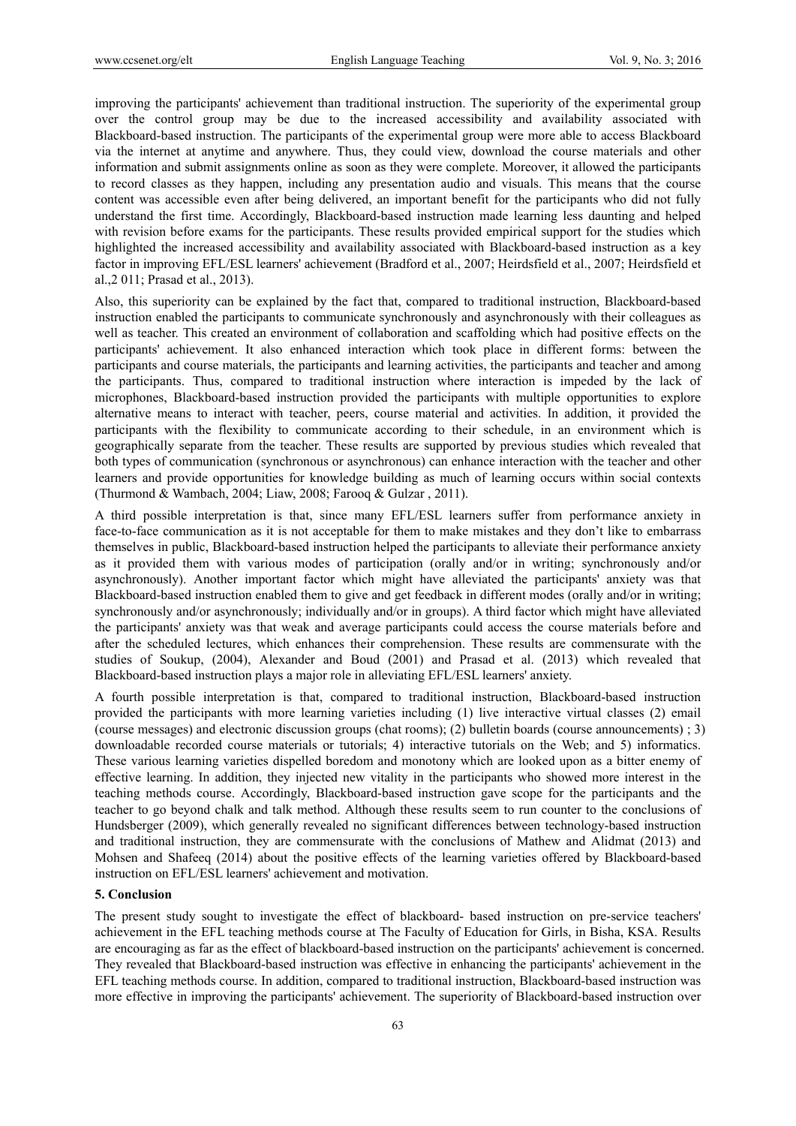improving the participants' achievement than traditional instruction. The superiority of the experimental group over the control group may be due to the increased accessibility and availability associated with Blackboard-based instruction. The participants of the experimental group were more able to access Blackboard via the internet at anytime and anywhere. Thus, they could view, download the course materials and other information and submit assignments online as soon as they were complete. Moreover, it allowed the participants to record classes as they happen, including any presentation audio and visuals. This means that the course content was accessible even after being delivered, an important benefit for the participants who did not fully understand the first time. Accordingly, Blackboard-based instruction made learning less daunting and helped with revision before exams for the participants. These results provided empirical support for the studies which highlighted the increased accessibility and availability associated with Blackboard-based instruction as a key factor in improving EFL/ESL learners' achievement (Bradford et al., 2007; Heirdsfield et al., 2007; Heirdsfield et al.,2 011; Prasad et al., 2013).

Also, this superiority can be explained by the fact that, compared to traditional instruction, Blackboard-based instruction enabled the participants to communicate synchronously and asynchronously with their colleagues as well as teacher. This created an environment of collaboration and scaffolding which had positive effects on the participants' achievement. It also enhanced interaction which took place in different forms: between the participants and course materials, the participants and learning activities, the participants and teacher and among the participants. Thus, compared to traditional instruction where interaction is impeded by the lack of microphones, Blackboard-based instruction provided the participants with multiple opportunities to explore alternative means to interact with teacher, peers, course material and activities. In addition, it provided the participants with the flexibility to communicate according to their schedule, in an environment which is geographically separate from the teacher. These results are supported by previous studies which revealed that both types of communication (synchronous or asynchronous) can enhance interaction with the teacher and other learners and provide opportunities for knowledge building as much of learning occurs within social contexts (Thurmond & Wambach, 2004; Liaw, 2008; Farooq & Gulzar , 2011).

A third possible interpretation is that, since many EFL/ESL learners suffer from performance anxiety in face-to-face communication as it is not acceptable for them to make mistakes and they don't like to embarrass themselves in public, Blackboard-based instruction helped the participants to alleviate their performance anxiety as it provided them with various modes of participation (orally and/or in writing; synchronously and/or asynchronously). Another important factor which might have alleviated the participants' anxiety was that Blackboard-based instruction enabled them to give and get feedback in different modes (orally and/or in writing; synchronously and/or asynchronously; individually and/or in groups). A third factor which might have alleviated the participants' anxiety was that weak and average participants could access the course materials before and after the scheduled lectures, which enhances their comprehension. These results are commensurate with the studies of Soukup, (2004), Alexander and Boud (2001) and Prasad et al. (2013) which revealed that Blackboard-based instruction plays a major role in alleviating EFL/ESL learners' anxiety.

A fourth possible interpretation is that, compared to traditional instruction, Blackboard-based instruction provided the participants with more learning varieties including (1) live interactive virtual classes (2) email (course messages) and electronic discussion groups (chat rooms); (2) bulletin boards (course announcements) ; 3) downloadable recorded course materials or tutorials; 4) interactive tutorials on the Web; and 5) informatics. These various learning varieties dispelled boredom and monotony which are looked upon as a bitter enemy of effective learning. In addition, they injected new vitality in the participants who showed more interest in the teaching methods course. Accordingly, Blackboard-based instruction gave scope for the participants and the teacher to go beyond chalk and talk method. Although these results seem to run counter to the conclusions of Hundsberger (2009), which generally revealed no significant differences between technology-based instruction and traditional instruction, they are commensurate with the conclusions of Mathew and Alidmat (2013) and Mohsen and Shafeeq (2014) about the positive effects of the learning varieties offered by Blackboard-based instruction on EFL/ESL learners' achievement and motivation.

#### **5. Conclusion**

The present study sought to investigate the effect of blackboard- based instruction on pre-service teachers' achievement in the EFL teaching methods course at The Faculty of Education for Girls, in Bisha, KSA. Results are encouraging as far as the effect of blackboard-based instruction on the participants' achievement is concerned. They revealed that Blackboard-based instruction was effective in enhancing the participants' achievement in the EFL teaching methods course. In addition, compared to traditional instruction, Blackboard-based instruction was more effective in improving the participants' achievement. The superiority of Blackboard-based instruction over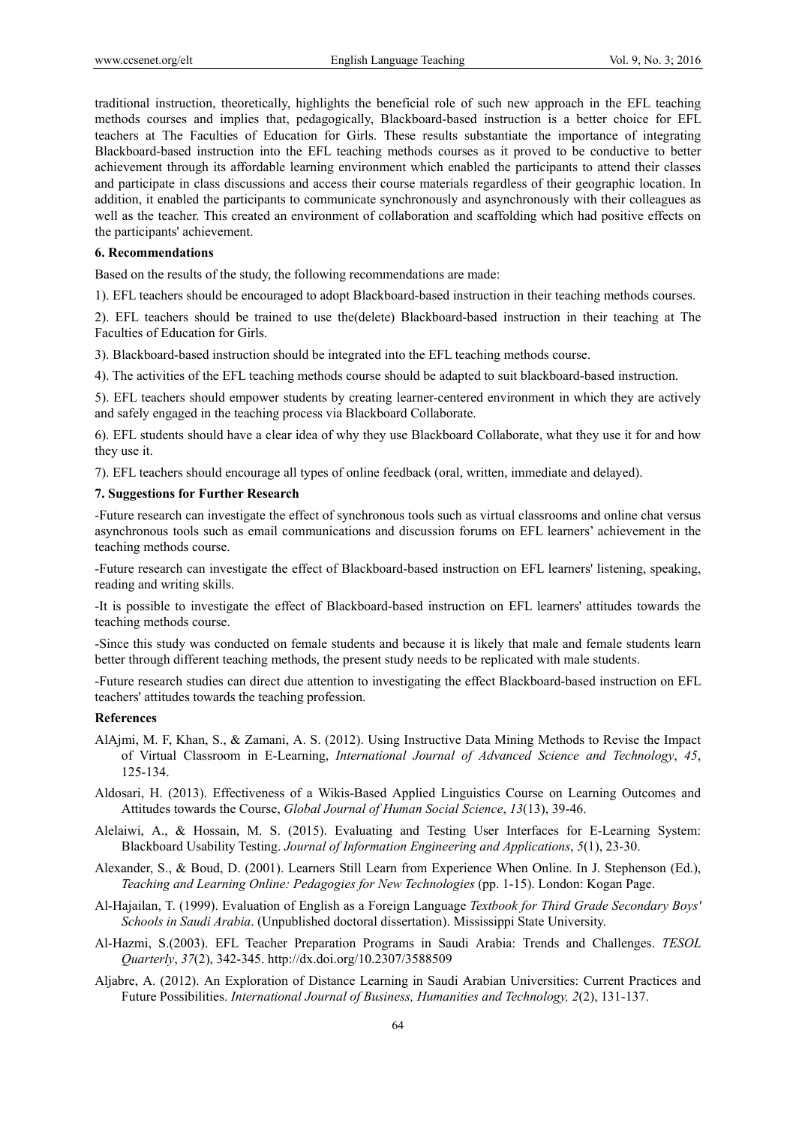traditional instruction, theoretically, highlights the beneficial role of such new approach in the EFL teaching methods courses and implies that, pedagogically, Blackboard-based instruction is a better choice for EFL teachers at The Faculties of Education for Girls. These results substantiate the importance of integrating Blackboard-based instruction into the EFL teaching methods courses as it proved to be conductive to better achievement through its affordable learning environment which enabled the participants to attend their classes and participate in class discussions and access their course materials regardless of their geographic location. In addition, it enabled the participants to communicate synchronously and asynchronously with their colleagues as well as the teacher. This created an environment of collaboration and scaffolding which had positive effects on the participants' achievement.

# **6. Recommendations**

Based on the results of the study, the following recommendations are made:

1). EFL teachers should be encouraged to adopt Blackboard-based instruction in their teaching methods courses.

2). EFL teachers should be trained to use the(delete) Blackboard-based instruction in their teaching at The Faculties of Education for Girls.

3). Blackboard-based instruction should be integrated into the EFL teaching methods course.

4). The activities of the EFL teaching methods course should be adapted to suit blackboard-based instruction.

5). EFL teachers should empower students by creating learner-centered environment in which they are actively and safely engaged in the teaching process via Blackboard Collaborate.

6). EFL students should have a clear idea of why they use Blackboard Collaborate, what they use it for and how they use it.

7). EFL teachers should encourage all types of online feedback (oral, written, immediate and delayed).

## **7. Suggestions for Further Research**

-Future research can investigate the effect of synchronous tools such as virtual classrooms and online chat versus asynchronous tools such as email communications and discussion forums on EFL learners' achievement in the teaching methods course.

-Future research can investigate the effect of Blackboard-based instruction on EFL learners' listening, speaking, reading and writing skills.

-It is possible to investigate the effect of Blackboard-based instruction on EFL learners' attitudes towards the teaching methods course.

-Since this study was conducted on female students and because it is likely that male and female students learn better through different teaching methods, the present study needs to be replicated with male students.

-Future research studies can direct due attention to investigating the effect Blackboard-based instruction on EFL teachers' attitudes towards the teaching profession.

#### **References**

- AlAjmi, M. F, Khan, S., & Zamani, A. S. (2012). Using Instructive Data Mining Methods to Revise the Impact of Virtual Classroom in E-Learning, *International Journal of Advanced Science and Technology*, *45*, 125-134.
- Aldosari, H. (2013). Effectiveness of a Wikis-Based Applied Linguistics Course on Learning Outcomes and Attitudes towards the Course, *Global Journal of Human Social Science*, *13*(13), 39-46.
- Alelaiwi, A., & Hossain, M. S. (2015). Evaluating and Testing User Interfaces for E-Learning System: Blackboard Usability Testing. *Journal of Information Engineering and Applications*, *5*(1), 23-30.
- Alexander, S., & Boud, D. (2001). Learners Still Learn from Experience When Online. In J. Stephenson (Ed.), *Teaching and Learning Online: Pedagogies for New Technologies* (pp. 1-15). London: Kogan Page.
- Al-Hajailan, T. (1999). Evaluation of English as a Foreign Language *Textbook for Third Grade Secondary Boys' Schools in Saudi Arabia*. (Unpublished doctoral dissertation). Mississippi State University.
- Al-Hazmi, S.(2003). EFL Teacher Preparation Programs in Saudi Arabia: Trends and Challenges. *TESOL Quarterly*, *37*(2), 342-345. http://dx.doi.org/10.2307/3588509
- Aljabre, A. (2012). An Exploration of Distance Learning in Saudi Arabian Universities: Current Practices and Future Possibilities. *International Journal of Business, Humanities and Technology, 2*(2), 131-137.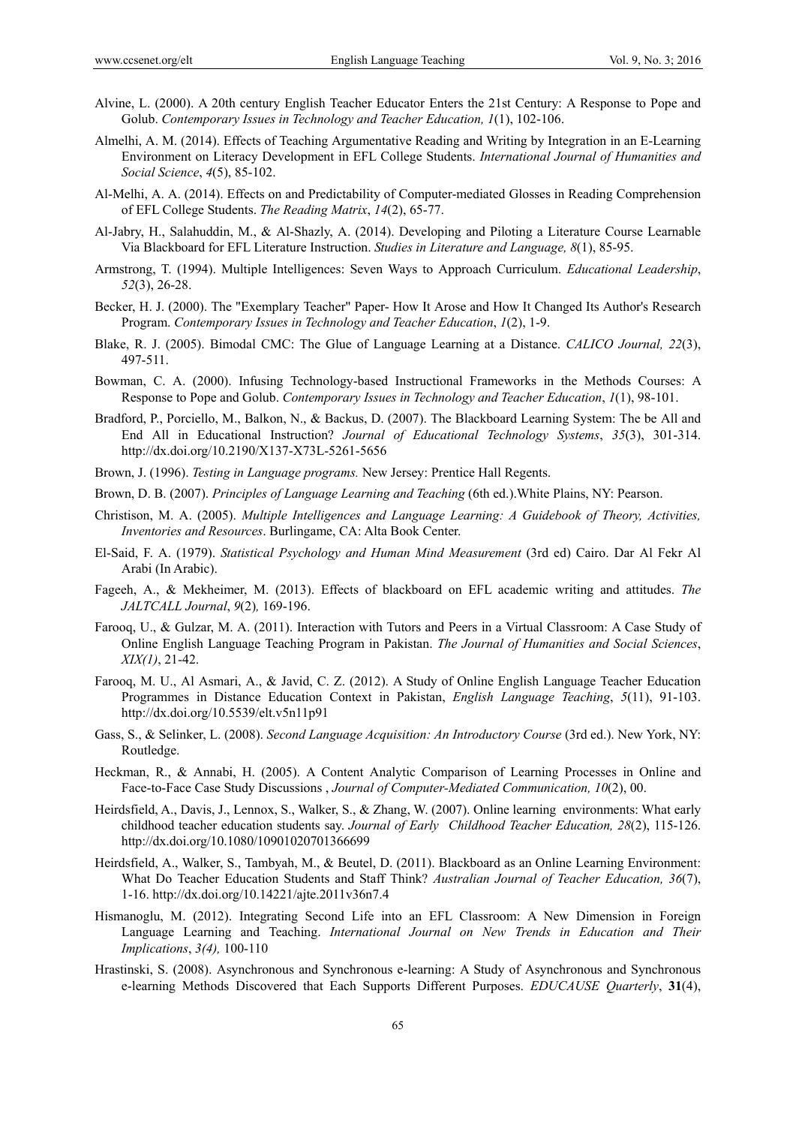- Alvine, L. (2000). A 20th century English Teacher Educator Enters the 21st Century: A Response to Pope and Golub. *Contemporary Issues in Technology and Teacher Education, 1*(1), 102-106.
- Almelhi, A. M. (2014). Effects of Teaching Argumentative Reading and Writing by Integration in an E-Learning Environment on Literacy Development in EFL College Students. *International Journal of Humanities and Social Science*, *4*(5), 85-102.
- Al-Melhi, A. A. (2014). Effects on and Predictability of Computer-mediated Glosses in Reading Comprehension of EFL College Students. *The Reading Matrix*, *14*(2), 65-77.
- Al-Jabry, H., Salahuddin, M., & Al-Shazly, A. (2014). Developing and Piloting a Literature Course Learnable Via Blackboard for EFL Literature Instruction. *Studies in Literature and Language, 8*(1), 85-95.
- Armstrong, T. (1994). Multiple Intelligences: Seven Ways to Approach Curriculum. *Educational Leadership*, *52*(3), 26-28.
- Becker, H. J. (2000). The "Exemplary Teacher" Paper- How It Arose and How It Changed Its Author's Research Program. *Contemporary Issues in Technology and Teacher Education*, *1*(2), 1-9.
- Blake, R. J. (2005). Bimodal CMC: The Glue of Language Learning at a Distance. *CALICO Journal, 22*(3), 497-511.
- Bowman, C. A. (2000). Infusing Technology-based Instructional Frameworks in the Methods Courses: A Response to Pope and Golub. *Contemporary Issues in Technology and Teacher Education*, *1*(1), 98-101.
- Bradford, P., Porciello, M., Balkon, N., & Backus, D. (2007). The Blackboard Learning System: The be All and End All in Educational Instruction? *Journal of Educational Technology Systems*, *35*(3), 301-314. http://dx.doi.org/10.2190/X137-X73L-5261-5656
- Brown, J. (1996). *Testing in Language programs.* New Jersey: Prentice Hall Regents.
- Brown, D. B. (2007). *Principles of Language Learning and Teaching* (6th ed.).White Plains, NY: Pearson.
- Christison, M. A. (2005). *Multiple Intelligences and Language Learning: A Guidebook of Theory, Activities, Inventories and Resources*. Burlingame, CA: Alta Book Center.
- El-Said, F. A. (1979). *Statistical Psychology and Human Mind Measurement* (3rd ed) Cairo. Dar Al Fekr Al Arabi (In Arabic).
- Fageeh, A., & Mekheimer, M. (2013). Effects of blackboard on EFL academic writing and attitudes. *The JALTCALL Journal*, *9*(2)*,* 169-196.
- Farooq, U., & Gulzar, M. A. (2011). Interaction with Tutors and Peers in a Virtual Classroom: A Case Study of Online English Language Teaching Program in Pakistan. *The Journal of Humanities and Social Sciences*, *XIX(1)*, 21-42.
- Farooq, M. U., Al Asmari, A., & Javid, C. Z. (2012). A Study of Online English Language Teacher Education Programmes in Distance Education Context in Pakistan, *English Language Teaching*, *5*(11), 91-103. http://dx.doi.org/10.5539/elt.v5n11p91
- Gass, S., & Selinker, L. (2008). *Second Language Acquisition: An Introductory Course* (3rd ed.). New York, NY: Routledge.
- Heckman, R., & Annabi, H. (2005). A Content Analytic Comparison of Learning Processes in Online and Face-to-Face Case Study Discussions , *Journal of Computer-Mediated Communication, 10*(2), 00.
- Heirdsfield, A., Davis, J., Lennox, S., Walker, S., & Zhang, W. (2007). Online learning environments: What early childhood teacher education students say. *Journal of Early Childhood Teacher Education, 28*(2), 115-126. http://dx.doi.org/10.1080/10901020701366699
- Heirdsfield, A., Walker, S., Tambyah, M., & Beutel, D. (2011). Blackboard as an Online Learning Environment: What Do Teacher Education Students and Staff Think? *Australian Journal of Teacher Education, 36*(7), 1-16. http://dx.doi.org/10.14221/ajte.2011v36n7.4
- Hismanoglu, M. (2012). Integrating Second Life into an EFL Classroom: A New Dimension in Foreign Language Learning and Teaching. *International Journal on New Trends in Education and Their Implications*, *3(4),* 100-110
- Hrastinski, S. (2008). Asynchronous and Synchronous e-learning: A Study of Asynchronous and Synchronous e-learning Methods Discovered that Each Supports Different Purposes. *EDUCAUSE Quarterly*, **31**(4),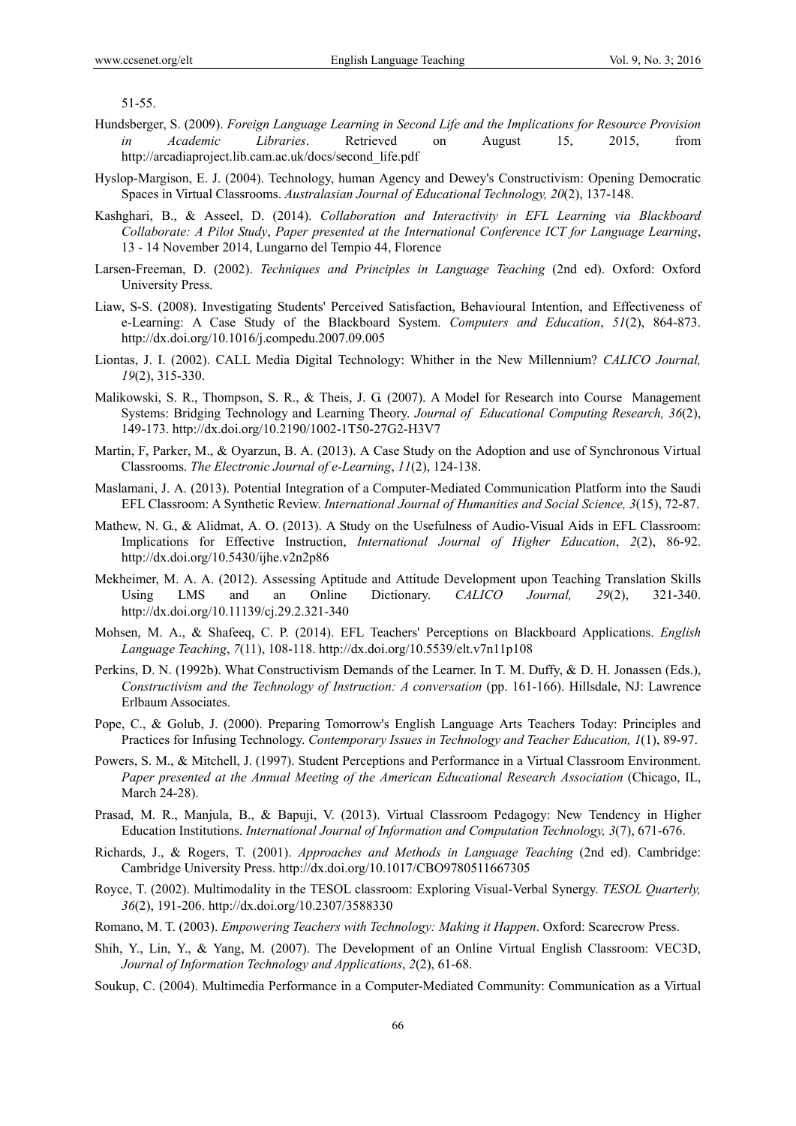51-55.

- Hundsberger, S. (2009). *Foreign Language Learning in Second Life and the Implications for Resource Provision in Academic Libraries*. Retrieved on August 15, 2015, from http://arcadiaproject.lib.cam.ac.uk/docs/second\_life.pdf
- Hyslop-Margison, E. J. (2004). Technology, human Agency and Dewey's Constructivism: Opening Democratic Spaces in Virtual Classrooms. *Australasian Journal of Educational Technology, 20*(2), 137-148.
- Kashghari, B., & Asseel, D. (2014). *Collaboration and Interactivity in EFL Learning via Blackboard Collaborate: A Pilot Study*, *Paper presented at the International Conference ICT for Language Learning*, 13 - 14 November 2014, Lungarno del Tempio 44, Florence
- Larsen-Freeman, D. (2002). *Techniques and Principles in Language Teaching* (2nd ed). Oxford: Oxford University Press.
- Liaw, S-S. (2008). Investigating Students' Perceived Satisfaction, Behavioural Intention, and Effectiveness of e-Learning: A Case Study of the Blackboard System. *Computers and Education*, *51*(2), 864-873. http://dx.doi.org/10.1016/j.compedu.2007.09.005
- Liontas, J. I. (2002). CALL Media Digital Technology: Whither in the New Millennium? *CALICO Journal, 19*(2), 315-330.
- Malikowski, S. R., Thompson, S. R., & Theis, J. G. (2007). A Model for Research into Course Management Systems: Bridging Technology and Learning Theory. *Journal of Educational Computing Research, 36*(2), 149-173. http://dx.doi.org/10.2190/1002-1T50-27G2-H3V7
- Martin, F, Parker, M., & Oyarzun, B. A. (2013). A Case Study on the Adoption and use of Synchronous Virtual Classrooms. *The Electronic Journal of e-Learning*, *11*(2), 124-138.
- Maslamani, J. A. (2013). Potential Integration of a Computer-Mediated Communication Platform into the Saudi EFL Classroom: A Synthetic Review. *International Journal of Humanities and Social Science, 3*(15), 72-87.
- Mathew, N. G., & Alidmat, A. O. (2013). A Study on the Usefulness of Audio-Visual Aids in EFL Classroom: Implications for Effective Instruction, *International Journal of Higher Education*, *2*(2), 86-92. http://dx.doi.org/10.5430/ijhe.v2n2p86
- Mekheimer, M. A. A. (2012). Assessing Aptitude and Attitude Development upon Teaching Translation Skills Using LMS and an Online Dictionary. *CALICO Journal, 29*(2), 321-340. http://dx.doi.org/10.11139/cj.29.2.321-340
- Mohsen, M. A., & Shafeeq, C. P. (2014). EFL Teachers' Perceptions on Blackboard Applications. *English Language Teaching*, *7*(11), 108-118. http://dx.doi.org/10.5539/elt.v7n11p108
- Perkins, D. N. (1992b). What Constructivism Demands of the Learner. In T. M. Duffy, & D. H. Jonassen (Eds.), *Constructivism and the Technology of Instruction: A conversation* (pp. 161-166). Hillsdale, NJ: Lawrence Erlbaum Associates.
- Pope, C., & Golub, J. (2000). Preparing Tomorrow's English Language Arts Teachers Today: Principles and Practices for Infusing Technology. *Contemporary Issues in Technology and Teacher Education, 1*(1), 89-97.
- Powers, S. M., & Mitchell, J. (1997). Student Perceptions and Performance in a Virtual Classroom Environment. *Paper presented at the Annual Meeting of the American Educational Research Association* (Chicago, IL, March 24-28).
- Prasad, M. R., Manjula, B., & Bapuji, V. (2013). Virtual Classroom Pedagogy: New Tendency in Higher Education Institutions. *International Journal of Information and Computation Technology, 3*(7), 671-676.
- Richards, J., & Rogers, T. (2001). *Approaches and Methods in Language Teaching* (2nd ed). Cambridge: Cambridge University Press. http://dx.doi.org/10.1017/CBO9780511667305
- Royce, T. (2002). Multimodality in the TESOL classroom: Exploring Visual-Verbal Synergy. *TESOL Quarterly, 36*(2), 191-206. http://dx.doi.org/10.2307/3588330
- Romano, M. T. (2003). *Empowering Teachers with Technology: Making it Happen*. Oxford: Scarecrow Press.
- Shih, Y., Lin, Y., & Yang, M. (2007). The Development of an Online Virtual English Classroom: VEC3D, *Journal of Information Technology and Applications*, *2*(2), 61-68.
- Soukup, C. (2004). Multimedia Performance in a Computer-Mediated Community: Communication as a Virtual